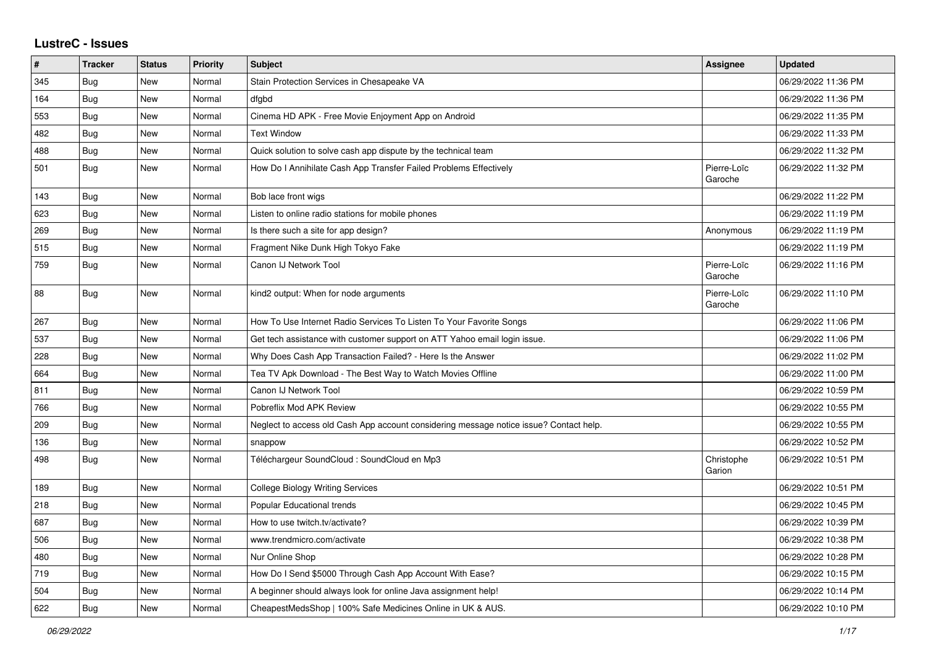## **LustreC - Issues**

| $\pmb{\#}$ | <b>Tracker</b> | <b>Status</b> | <b>Priority</b> | <b>Subject</b>                                                                         | Assignee               | <b>Updated</b>      |
|------------|----------------|---------------|-----------------|----------------------------------------------------------------------------------------|------------------------|---------------------|
| 345        | Bug            | New           | Normal          | Stain Protection Services in Chesapeake VA                                             |                        | 06/29/2022 11:36 PM |
| 164        | Bug            | <b>New</b>    | Normal          | dfgbd                                                                                  |                        | 06/29/2022 11:36 PM |
| 553        | Bug            | New           | Normal          | Cinema HD APK - Free Movie Enjoyment App on Android                                    |                        | 06/29/2022 11:35 PM |
| 482        | Bug            | New           | Normal          | <b>Text Window</b>                                                                     |                        | 06/29/2022 11:33 PM |
| 488        | <b>Bug</b>     | New           | Normal          | Quick solution to solve cash app dispute by the technical team                         |                        | 06/29/2022 11:32 PM |
| 501        | <b>Bug</b>     | New           | Normal          | How Do I Annihilate Cash App Transfer Failed Problems Effectively                      | Pierre-Loïc<br>Garoche | 06/29/2022 11:32 PM |
| 143        | <b>Bug</b>     | New           | Normal          | Bob lace front wigs                                                                    |                        | 06/29/2022 11:22 PM |
| 623        | Bug            | New           | Normal          | Listen to online radio stations for mobile phones                                      |                        | 06/29/2022 11:19 PM |
| 269        | <b>Bug</b>     | <b>New</b>    | Normal          | Is there such a site for app design?                                                   | Anonymous              | 06/29/2022 11:19 PM |
| 515        | Bug            | <b>New</b>    | Normal          | Fragment Nike Dunk High Tokyo Fake                                                     |                        | 06/29/2022 11:19 PM |
| 759        | Bug            | <b>New</b>    | Normal          | Canon IJ Network Tool                                                                  | Pierre-Loïc<br>Garoche | 06/29/2022 11:16 PM |
| 88         | Bug            | New           | Normal          | kind2 output: When for node arguments                                                  | Pierre-Loïc<br>Garoche | 06/29/2022 11:10 PM |
| 267        | Bug            | New           | Normal          | How To Use Internet Radio Services To Listen To Your Favorite Songs                    |                        | 06/29/2022 11:06 PM |
| 537        | <b>Bug</b>     | <b>New</b>    | Normal          | Get tech assistance with customer support on ATT Yahoo email login issue.              |                        | 06/29/2022 11:06 PM |
| 228        | <b>Bug</b>     | New           | Normal          | Why Does Cash App Transaction Failed? - Here Is the Answer                             |                        | 06/29/2022 11:02 PM |
| 664        | Bug            | <b>New</b>    | Normal          | Tea TV Apk Download - The Best Way to Watch Movies Offline                             |                        | 06/29/2022 11:00 PM |
| 811        | <b>Bug</b>     | New           | Normal          | Canon IJ Network Tool                                                                  |                        | 06/29/2022 10:59 PM |
| 766        | Bug            | New           | Normal          | Pobreflix Mod APK Review                                                               |                        | 06/29/2022 10:55 PM |
| 209        | Bug            | <b>New</b>    | Normal          | Neglect to access old Cash App account considering message notice issue? Contact help. |                        | 06/29/2022 10:55 PM |
| 136        | Bug            | New           | Normal          | snappow                                                                                |                        | 06/29/2022 10:52 PM |
| 498        | Bug            | <b>New</b>    | Normal          | Téléchargeur SoundCloud : SoundCloud en Mp3                                            | Christophe<br>Garion   | 06/29/2022 10:51 PM |
| 189        | Bug            | <b>New</b>    | Normal          | <b>College Biology Writing Services</b>                                                |                        | 06/29/2022 10:51 PM |
| 218        | Bug            | New           | Normal          | Popular Educational trends                                                             |                        | 06/29/2022 10:45 PM |
| 687        | Bug            | New           | Normal          | How to use twitch.tv/activate?                                                         |                        | 06/29/2022 10:39 PM |
| 506        | Bug            | New           | Normal          | www.trendmicro.com/activate                                                            |                        | 06/29/2022 10:38 PM |
| 480        | Bug            | New           | Normal          | Nur Online Shop                                                                        |                        | 06/29/2022 10:28 PM |
| 719        | <b>Bug</b>     | New           | Normal          | How Do I Send \$5000 Through Cash App Account With Ease?                               |                        | 06/29/2022 10:15 PM |
| 504        | Bug            | <b>New</b>    | Normal          | A beginner should always look for online Java assignment help!                         |                        | 06/29/2022 10:14 PM |
| 622        | <b>Bug</b>     | <b>New</b>    | Normal          | CheapestMedsShop   100% Safe Medicines Online in UK & AUS.                             |                        | 06/29/2022 10:10 PM |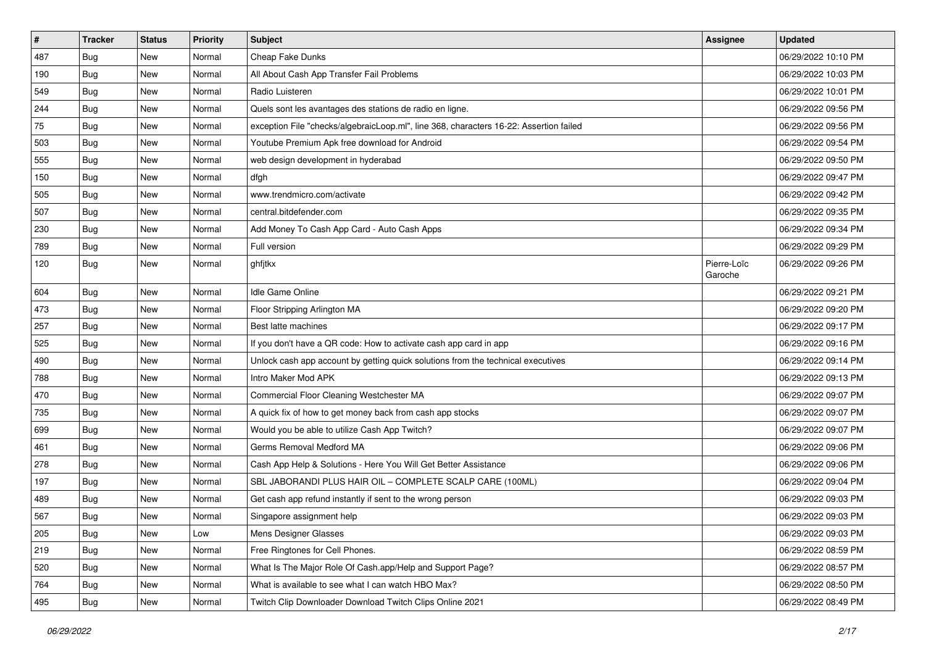| $\vert$ # | Tracker    | <b>Status</b> | Priority | <b>Subject</b>                                                                         | <b>Assignee</b>        | <b>Updated</b>      |
|-----------|------------|---------------|----------|----------------------------------------------------------------------------------------|------------------------|---------------------|
| 487       | Bug        | New           | Normal   | Cheap Fake Dunks                                                                       |                        | 06/29/2022 10:10 PM |
| 190       | Bug        | <b>New</b>    | Normal   | All About Cash App Transfer Fail Problems                                              |                        | 06/29/2022 10:03 PM |
| 549       | Bug        | New           | Normal   | Radio Luisteren                                                                        |                        | 06/29/2022 10:01 PM |
| 244       | <b>Bug</b> | New           | Normal   | Quels sont les avantages des stations de radio en ligne.                               |                        | 06/29/2022 09:56 PM |
| 75        | <b>Bug</b> | New           | Normal   | exception File "checks/algebraicLoop.ml", line 368, characters 16-22: Assertion failed |                        | 06/29/2022 09:56 PM |
| 503       | <b>Bug</b> | New           | Normal   | Youtube Premium Apk free download for Android                                          |                        | 06/29/2022 09:54 PM |
| 555       | Bug        | New           | Normal   | web design development in hyderabad                                                    |                        | 06/29/2022 09:50 PM |
| 150       | Bug        | New           | Normal   | dfgh                                                                                   |                        | 06/29/2022 09:47 PM |
| 505       | <b>Bug</b> | New           | Normal   | www.trendmicro.com/activate                                                            |                        | 06/29/2022 09:42 PM |
| 507       | Bug        | New           | Normal   | central.bitdefender.com                                                                |                        | 06/29/2022 09:35 PM |
| 230       | Bug        | New           | Normal   | Add Money To Cash App Card - Auto Cash Apps                                            |                        | 06/29/2022 09:34 PM |
| 789       | <b>Bug</b> | New           | Normal   | Full version                                                                           |                        | 06/29/2022 09:29 PM |
| 120       | Bug        | New           | Normal   | ghfjtkx                                                                                | Pierre-Loïc<br>Garoche | 06/29/2022 09:26 PM |
| 604       | Bug        | <b>New</b>    | Normal   | <b>Idle Game Online</b>                                                                |                        | 06/29/2022 09:21 PM |
| 473       | <b>Bug</b> | New           | Normal   | Floor Stripping Arlington MA                                                           |                        | 06/29/2022 09:20 PM |
| 257       | <b>Bug</b> | New           | Normal   | Best latte machines                                                                    |                        | 06/29/2022 09:17 PM |
| 525       | Bug        | New           | Normal   | If you don't have a QR code: How to activate cash app card in app                      |                        | 06/29/2022 09:16 PM |
| 490       | <b>Bug</b> | New           | Normal   | Unlock cash app account by getting quick solutions from the technical executives       |                        | 06/29/2022 09:14 PM |
| 788       | Bug        | New           | Normal   | Intro Maker Mod APK                                                                    |                        | 06/29/2022 09:13 PM |
| 470       | <b>Bug</b> | New           | Normal   | Commercial Floor Cleaning Westchester MA                                               |                        | 06/29/2022 09:07 PM |
| 735       | <b>Bug</b> | New           | Normal   | A quick fix of how to get money back from cash app stocks                              |                        | 06/29/2022 09:07 PM |
| 699       | Bug        | New           | Normal   | Would you be able to utilize Cash App Twitch?                                          |                        | 06/29/2022 09:07 PM |
| 461       | Bug        | New           | Normal   | Germs Removal Medford MA                                                               |                        | 06/29/2022 09:06 PM |
| 278       | Bug        | New           | Normal   | Cash App Help & Solutions - Here You Will Get Better Assistance                        |                        | 06/29/2022 09:06 PM |
| 197       | <b>Bug</b> | New           | Normal   | SBL JABORANDI PLUS HAIR OIL - COMPLETE SCALP CARE (100ML)                              |                        | 06/29/2022 09:04 PM |
| 489       | Bug        | New           | Normal   | Get cash app refund instantly if sent to the wrong person                              |                        | 06/29/2022 09:03 PM |
| 567       | <b>Bug</b> | New           | Normal   | Singapore assignment help                                                              |                        | 06/29/2022 09:03 PM |
| 205       | Bug        | New           | Low      | Mens Designer Glasses                                                                  |                        | 06/29/2022 09:03 PM |
| 219       | <b>Bug</b> | New           | Normal   | Free Ringtones for Cell Phones.                                                        |                        | 06/29/2022 08:59 PM |
| 520       | Bug        | New           | Normal   | What Is The Major Role Of Cash.app/Help and Support Page?                              |                        | 06/29/2022 08:57 PM |
| 764       | <b>Bug</b> | New           | Normal   | What is available to see what I can watch HBO Max?                                     |                        | 06/29/2022 08:50 PM |
| 495       | <b>Bug</b> | New           | Normal   | Twitch Clip Downloader Download Twitch Clips Online 2021                               |                        | 06/29/2022 08:49 PM |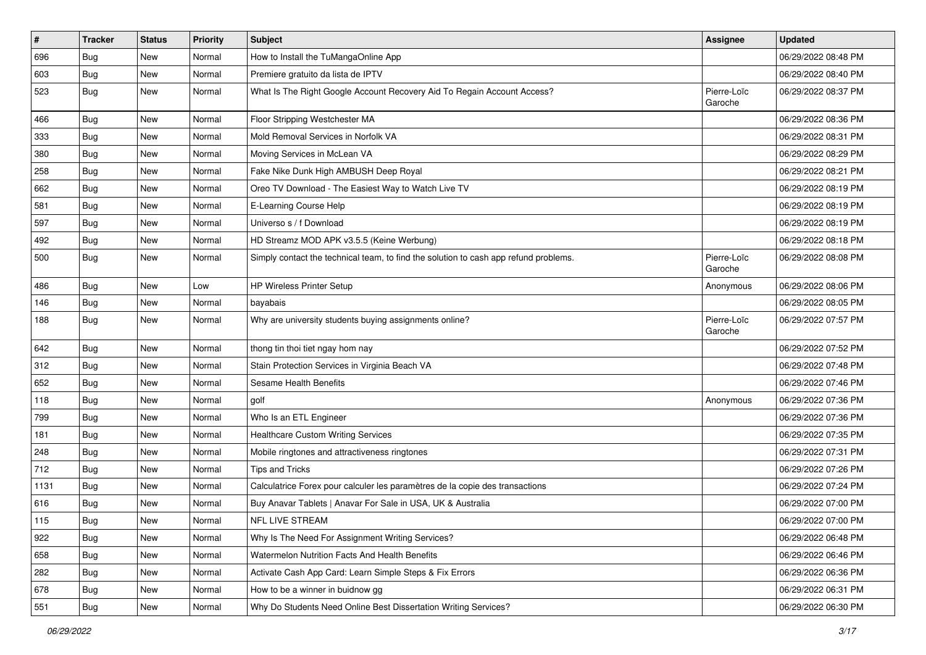| $\sharp$ | <b>Tracker</b> | <b>Status</b> | Priority | Subject                                                                              | <b>Assignee</b>        | <b>Updated</b>      |
|----------|----------------|---------------|----------|--------------------------------------------------------------------------------------|------------------------|---------------------|
| 696      | <b>Bug</b>     | New           | Normal   | How to Install the TuMangaOnline App                                                 |                        | 06/29/2022 08:48 PM |
| 603      | Bug            | New           | Normal   | Premiere gratuito da lista de IPTV                                                   |                        | 06/29/2022 08:40 PM |
| 523      | Bug            | New           | Normal   | What Is The Right Google Account Recovery Aid To Regain Account Access?              | Pierre-Loïc<br>Garoche | 06/29/2022 08:37 PM |
| 466      | Bug            | <b>New</b>    | Normal   | Floor Stripping Westchester MA                                                       |                        | 06/29/2022 08:36 PM |
| 333      | <b>Bug</b>     | New           | Normal   | Mold Removal Services in Norfolk VA                                                  |                        | 06/29/2022 08:31 PM |
| 380      | <b>Bug</b>     | New           | Normal   | Moving Services in McLean VA                                                         |                        | 06/29/2022 08:29 PM |
| 258      | Bug            | New           | Normal   | Fake Nike Dunk High AMBUSH Deep Royal                                                |                        | 06/29/2022 08:21 PM |
| 662      | Bug            | New           | Normal   | Oreo TV Download - The Easiest Way to Watch Live TV                                  |                        | 06/29/2022 08:19 PM |
| 581      | Bug            | <b>New</b>    | Normal   | E-Learning Course Help                                                               |                        | 06/29/2022 08:19 PM |
| 597      | Bug            | New           | Normal   | Universo s / f Download                                                              |                        | 06/29/2022 08:19 PM |
| 492      | <b>Bug</b>     | New           | Normal   | HD Streamz MOD APK v3.5.5 (Keine Werbung)                                            |                        | 06/29/2022 08:18 PM |
| 500      | Bug            | <b>New</b>    | Normal   | Simply contact the technical team, to find the solution to cash app refund problems. | Pierre-Loïc<br>Garoche | 06/29/2022 08:08 PM |
| 486      | Bug            | New           | Low      | <b>HP Wireless Printer Setup</b>                                                     | Anonymous              | 06/29/2022 08:06 PM |
| 146      | <b>Bug</b>     | New           | Normal   | bayabais                                                                             |                        | 06/29/2022 08:05 PM |
| 188      | Bug            | New           | Normal   | Why are university students buying assignments online?                               | Pierre-Loïc<br>Garoche | 06/29/2022 07:57 PM |
| 642      | Bug            | New           | Normal   | thong tin thoi tiet ngay hom nay                                                     |                        | 06/29/2022 07:52 PM |
| 312      | <b>Bug</b>     | New           | Normal   | Stain Protection Services in Virginia Beach VA                                       |                        | 06/29/2022 07:48 PM |
| 652      | Bug            | New           | Normal   | <b>Sesame Health Benefits</b>                                                        |                        | 06/29/2022 07:46 PM |
| 118      | <b>Bug</b>     | New           | Normal   | golf                                                                                 | Anonymous              | 06/29/2022 07:36 PM |
| 799      | <b>Bug</b>     | New           | Normal   | Who Is an ETL Engineer                                                               |                        | 06/29/2022 07:36 PM |
| 181      | Bug            | New           | Normal   | Healthcare Custom Writing Services                                                   |                        | 06/29/2022 07:35 PM |
| 248      | Bug            | New           | Normal   | Mobile ringtones and attractiveness ringtones                                        |                        | 06/29/2022 07:31 PM |
| 712      | Bug            | New           | Normal   | <b>Tips and Tricks</b>                                                               |                        | 06/29/2022 07:26 PM |
| 1131     | <b>Bug</b>     | New           | Normal   | Calculatrice Forex pour calculer les paramètres de la copie des transactions         |                        | 06/29/2022 07:24 PM |
| 616      | Bug            | New           | Normal   | Buy Anavar Tablets   Anavar For Sale in USA, UK & Australia                          |                        | 06/29/2022 07:00 PM |
| 115      | <b>Bug</b>     | New           | Normal   | NFL LIVE STREAM                                                                      |                        | 06/29/2022 07:00 PM |
| 922      | Bug            | New           | Normal   | Why Is The Need For Assignment Writing Services?                                     |                        | 06/29/2022 06:48 PM |
| 658      | Bug            | New           | Normal   | Watermelon Nutrition Facts And Health Benefits                                       |                        | 06/29/2022 06:46 PM |
| 282      | Bug            | New           | Normal   | Activate Cash App Card: Learn Simple Steps & Fix Errors                              |                        | 06/29/2022 06:36 PM |
| 678      | Bug            | New           | Normal   | How to be a winner in buidnow gg                                                     |                        | 06/29/2022 06:31 PM |
| 551      | Bug            | New           | Normal   | Why Do Students Need Online Best Dissertation Writing Services?                      |                        | 06/29/2022 06:30 PM |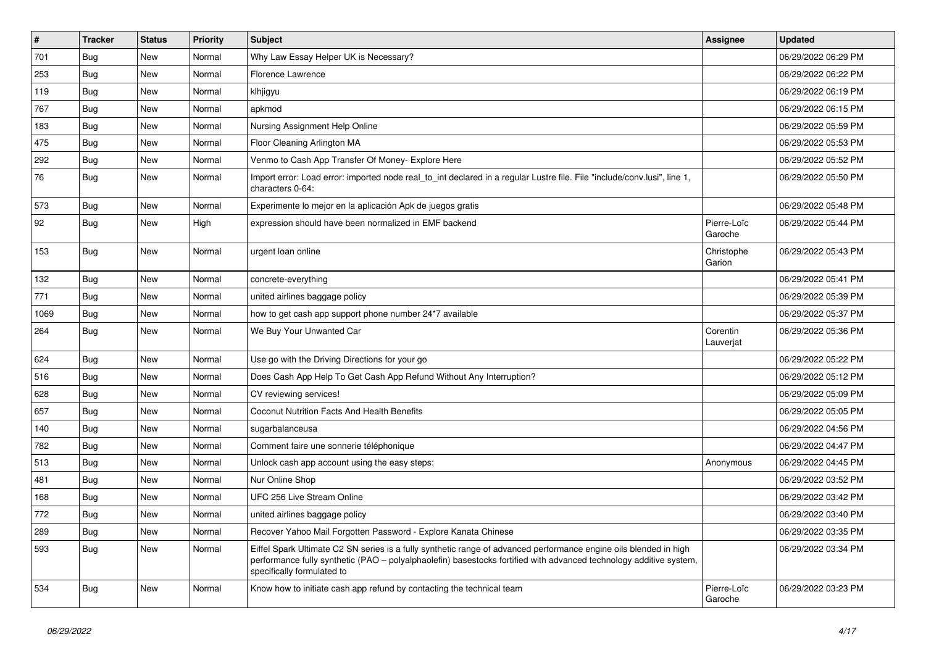| $\vert$ # | <b>Tracker</b> | <b>Status</b> | <b>Priority</b> | <b>Subject</b>                                                                                                                                                                                                                                                        | <b>Assignee</b>        | <b>Updated</b>      |
|-----------|----------------|---------------|-----------------|-----------------------------------------------------------------------------------------------------------------------------------------------------------------------------------------------------------------------------------------------------------------------|------------------------|---------------------|
| 701       | Bug            | <b>New</b>    | Normal          | Why Law Essay Helper UK is Necessary?                                                                                                                                                                                                                                 |                        | 06/29/2022 06:29 PM |
| 253       | <b>Bug</b>     | <b>New</b>    | Normal          | Florence Lawrence                                                                                                                                                                                                                                                     |                        | 06/29/2022 06:22 PM |
| 119       | Bug            | New           | Normal          | klhjigyu                                                                                                                                                                                                                                                              |                        | 06/29/2022 06:19 PM |
| 767       | Bug            | New           | Normal          | apkmod                                                                                                                                                                                                                                                                |                        | 06/29/2022 06:15 PM |
| 183       | <b>Bug</b>     | New           | Normal          | Nursing Assignment Help Online                                                                                                                                                                                                                                        |                        | 06/29/2022 05:59 PM |
| 475       | Bug            | New           | Normal          | Floor Cleaning Arlington MA                                                                                                                                                                                                                                           |                        | 06/29/2022 05:53 PM |
| 292       | Bug            | New           | Normal          | Venmo to Cash App Transfer Of Money- Explore Here                                                                                                                                                                                                                     |                        | 06/29/2022 05:52 PM |
| 76        | Bug            | <b>New</b>    | Normal          | Import error: Load error: imported node real_to_int declared in a regular Lustre file. File "include/conv.lusi", line 1,<br>characters 0-64:                                                                                                                          |                        | 06/29/2022 05:50 PM |
| 573       | Bug            | <b>New</b>    | Normal          | Experimente lo mejor en la aplicación Apk de juegos gratis                                                                                                                                                                                                            |                        | 06/29/2022 05:48 PM |
| 92        | Bug            | <b>New</b>    | High            | expression should have been normalized in EMF backend                                                                                                                                                                                                                 | Pierre-Loïc<br>Garoche | 06/29/2022 05:44 PM |
| 153       | Bug            | New           | Normal          | urgent loan online                                                                                                                                                                                                                                                    | Christophe<br>Garion   | 06/29/2022 05:43 PM |
| 132       | Bug            | New           | Normal          | concrete-everything                                                                                                                                                                                                                                                   |                        | 06/29/2022 05:41 PM |
| 771       | Bug            | New           | Normal          | united airlines baggage policy                                                                                                                                                                                                                                        |                        | 06/29/2022 05:39 PM |
| 1069      | Bug            | <b>New</b>    | Normal          | how to get cash app support phone number 24*7 available                                                                                                                                                                                                               |                        | 06/29/2022 05:37 PM |
| 264       | <b>Bug</b>     | <b>New</b>    | Normal          | We Buy Your Unwanted Car                                                                                                                                                                                                                                              | Corentin<br>Lauverjat  | 06/29/2022 05:36 PM |
| 624       | Bug            | <b>New</b>    | Normal          | Use go with the Driving Directions for your go                                                                                                                                                                                                                        |                        | 06/29/2022 05:22 PM |
| 516       | Bug            | New           | Normal          | Does Cash App Help To Get Cash App Refund Without Any Interruption?                                                                                                                                                                                                   |                        | 06/29/2022 05:12 PM |
| 628       | Bug            | New           | Normal          | CV reviewing services!                                                                                                                                                                                                                                                |                        | 06/29/2022 05:09 PM |
| 657       | <b>Bug</b>     | <b>New</b>    | Normal          | Coconut Nutrition Facts And Health Benefits                                                                                                                                                                                                                           |                        | 06/29/2022 05:05 PM |
| 140       | <b>Bug</b>     | <b>New</b>    | Normal          | sugarbalanceusa                                                                                                                                                                                                                                                       |                        | 06/29/2022 04:56 PM |
| 782       | Bug            | <b>New</b>    | Normal          | Comment faire une sonnerie téléphonique                                                                                                                                                                                                                               |                        | 06/29/2022 04:47 PM |
| 513       | Bug            | New           | Normal          | Unlock cash app account using the easy steps:                                                                                                                                                                                                                         | Anonymous              | 06/29/2022 04:45 PM |
| 481       | <b>Bug</b>     | New           | Normal          | Nur Online Shop                                                                                                                                                                                                                                                       |                        | 06/29/2022 03:52 PM |
| 168       | Bug            | New           | Normal          | UFC 256 Live Stream Online                                                                                                                                                                                                                                            |                        | 06/29/2022 03:42 PM |
| 772       | Bug            | <b>New</b>    | Normal          | united airlines baggage policy                                                                                                                                                                                                                                        |                        | 06/29/2022 03:40 PM |
| 289       | Bug            | New           | Normal          | Recover Yahoo Mail Forgotten Password - Explore Kanata Chinese                                                                                                                                                                                                        |                        | 06/29/2022 03:35 PM |
| 593       | Bug            | New           | Normal          | Eiffel Spark Ultimate C2 SN series is a fully synthetic range of advanced performance engine oils blended in high<br>performance fully synthetic (PAO - polyalphaolefin) basestocks fortified with advanced technology additive system,<br>specifically formulated to |                        | 06/29/2022 03:34 PM |
| 534       | Bug            | <b>New</b>    | Normal          | Know how to initiate cash app refund by contacting the technical team                                                                                                                                                                                                 | Pierre-Loïc<br>Garoche | 06/29/2022 03:23 PM |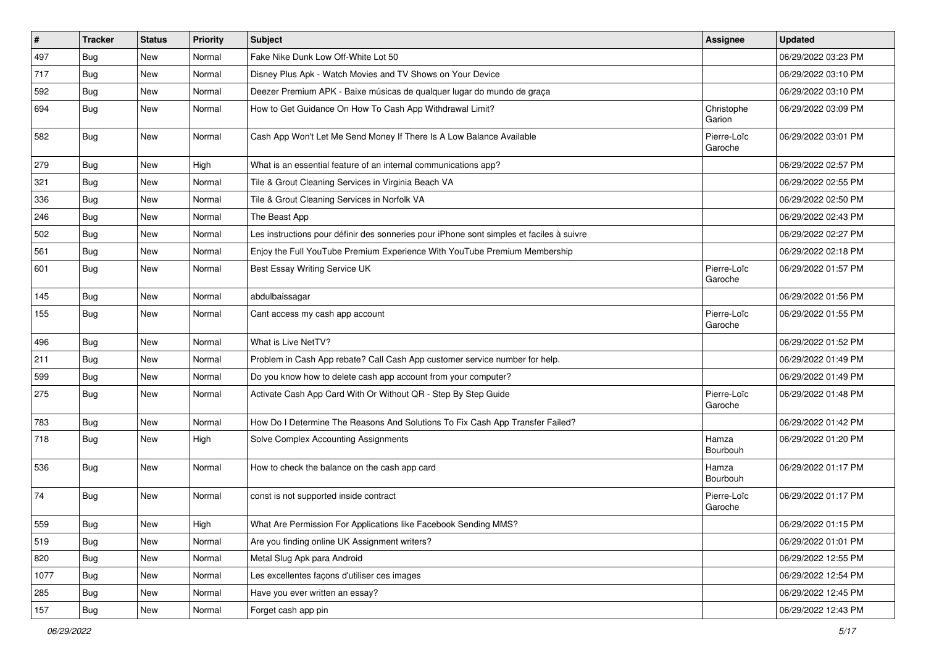| $\vert$ # | <b>Tracker</b> | <b>Status</b> | <b>Priority</b> | Subject                                                                                  | Assignee               | <b>Updated</b>      |
|-----------|----------------|---------------|-----------------|------------------------------------------------------------------------------------------|------------------------|---------------------|
| 497       | <b>Bug</b>     | New           | Normal          | Fake Nike Dunk Low Off-White Lot 50                                                      |                        | 06/29/2022 03:23 PM |
| 717       | Bug            | New           | Normal          | Disney Plus Apk - Watch Movies and TV Shows on Your Device                               |                        | 06/29/2022 03:10 PM |
| 592       | Bug            | New           | Normal          | Deezer Premium APK - Baixe músicas de qualquer lugar do mundo de graça                   |                        | 06/29/2022 03:10 PM |
| 694       | Bug            | New           | Normal          | How to Get Guidance On How To Cash App Withdrawal Limit?                                 | Christophe<br>Garion   | 06/29/2022 03:09 PM |
| 582       | Bug            | <b>New</b>    | Normal          | Cash App Won't Let Me Send Money If There Is A Low Balance Available                     | Pierre-Loïc<br>Garoche | 06/29/2022 03:01 PM |
| 279       | Bug            | New           | High            | What is an essential feature of an internal communications app?                          |                        | 06/29/2022 02:57 PM |
| 321       | Bug            | New           | Normal          | Tile & Grout Cleaning Services in Virginia Beach VA                                      |                        | 06/29/2022 02:55 PM |
| 336       | Bug            | New           | Normal          | Tile & Grout Cleaning Services in Norfolk VA                                             |                        | 06/29/2022 02:50 PM |
| 246       | Bug            | New           | Normal          | The Beast App                                                                            |                        | 06/29/2022 02:43 PM |
| 502       | <b>Bug</b>     | New           | Normal          | Les instructions pour définir des sonneries pour iPhone sont simples et faciles à suivre |                        | 06/29/2022 02:27 PM |
| 561       | Bug            | New           | Normal          | Enjoy the Full YouTube Premium Experience With YouTube Premium Membership                |                        | 06/29/2022 02:18 PM |
| 601       | Bug            | New           | Normal          | Best Essay Writing Service UK                                                            | Pierre-Loïc<br>Garoche | 06/29/2022 01:57 PM |
| 145       | <b>Bug</b>     | <b>New</b>    | Normal          | abdulbaissagar                                                                           |                        | 06/29/2022 01:56 PM |
| 155       | Bug            | New           | Normal          | Cant access my cash app account                                                          | Pierre-Loïc<br>Garoche | 06/29/2022 01:55 PM |
| 496       | <b>Bug</b>     | New           | Normal          | What is Live NetTV?                                                                      |                        | 06/29/2022 01:52 PM |
| 211       | <b>Bug</b>     | New           | Normal          | Problem in Cash App rebate? Call Cash App customer service number for help.              |                        | 06/29/2022 01:49 PM |
| 599       | Bug            | New           | Normal          | Do you know how to delete cash app account from your computer?                           |                        | 06/29/2022 01:49 PM |
| 275       | Bug            | New           | Normal          | Activate Cash App Card With Or Without QR - Step By Step Guide                           | Pierre-Loïc<br>Garoche | 06/29/2022 01:48 PM |
| 783       | Bug            | <b>New</b>    | Normal          | How Do I Determine The Reasons And Solutions To Fix Cash App Transfer Failed?            |                        | 06/29/2022 01:42 PM |
| 718       | Bug            | New           | High            | Solve Complex Accounting Assignments                                                     | Hamza<br>Bourbouh      | 06/29/2022 01:20 PM |
| 536       | Bug            | New           | Normal          | How to check the balance on the cash app card                                            | Hamza<br>Bourbouh      | 06/29/2022 01:17 PM |
| 74        | <b>Bug</b>     | New           | Normal          | const is not supported inside contract                                                   | Pierre-Loïc<br>Garoche | 06/29/2022 01:17 PM |
| 559       | <b>Bug</b>     | New           | High            | What Are Permission For Applications like Facebook Sending MMS?                          |                        | 06/29/2022 01:15 PM |
| 519       | Bug            | New           | Normal          | Are you finding online UK Assignment writers?                                            |                        | 06/29/2022 01:01 PM |
| 820       | Bug            | New           | Normal          | Metal Slug Apk para Android                                                              |                        | 06/29/2022 12:55 PM |
| 1077      | <b>Bug</b>     | New           | Normal          | Les excellentes façons d'utiliser ces images                                             |                        | 06/29/2022 12:54 PM |
| 285       | <b>Bug</b>     | New           | Normal          | Have you ever written an essay?                                                          |                        | 06/29/2022 12:45 PM |
| 157       | Bug            | New           | Normal          | Forget cash app pin                                                                      |                        | 06/29/2022 12:43 PM |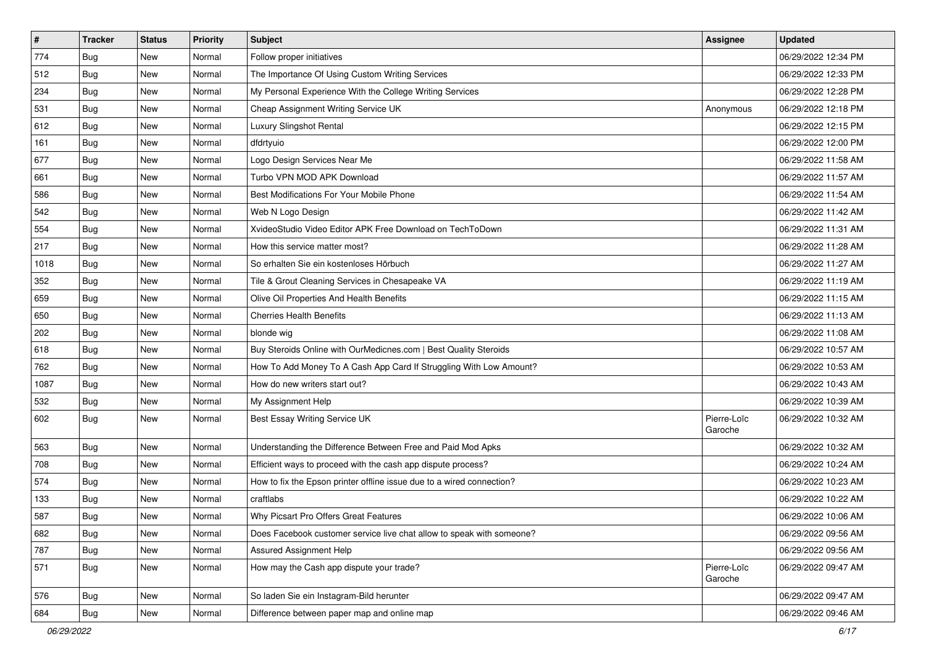| $\vert$ # | <b>Tracker</b> | <b>Status</b> | <b>Priority</b> | <b>Subject</b>                                                        | Assignee               | <b>Updated</b>      |
|-----------|----------------|---------------|-----------------|-----------------------------------------------------------------------|------------------------|---------------------|
| 774       | <b>Bug</b>     | New           | Normal          | Follow proper initiatives                                             |                        | 06/29/2022 12:34 PM |
| 512       | Bug            | New           | Normal          | The Importance Of Using Custom Writing Services                       |                        | 06/29/2022 12:33 PM |
| 234       | Bug            | New           | Normal          | My Personal Experience With the College Writing Services              |                        | 06/29/2022 12:28 PM |
| 531       | <b>Bug</b>     | New           | Normal          | Cheap Assignment Writing Service UK                                   | Anonymous              | 06/29/2022 12:18 PM |
| 612       | Bug            | New           | Normal          | Luxury Slingshot Rental                                               |                        | 06/29/2022 12:15 PM |
| 161       | Bug            | New           | Normal          | dfdrtyuio                                                             |                        | 06/29/2022 12:00 PM |
| 677       | Bug            | New           | Normal          | Logo Design Services Near Me                                          |                        | 06/29/2022 11:58 AM |
| 661       | <b>Bug</b>     | New           | Normal          | Turbo VPN MOD APK Download                                            |                        | 06/29/2022 11:57 AM |
| 586       | Bug            | New           | Normal          | Best Modifications For Your Mobile Phone                              |                        | 06/29/2022 11:54 AM |
| 542       | Bug            | New           | Normal          | Web N Logo Design                                                     |                        | 06/29/2022 11:42 AM |
| 554       | Bug            | New           | Normal          | XvideoStudio Video Editor APK Free Download on TechToDown             |                        | 06/29/2022 11:31 AM |
| 217       | Bug            | New           | Normal          | How this service matter most?                                         |                        | 06/29/2022 11:28 AM |
| 1018      | Bug            | New           | Normal          | So erhalten Sie ein kostenloses Hörbuch                               |                        | 06/29/2022 11:27 AM |
| 352       | <b>Bug</b>     | New           | Normal          | Tile & Grout Cleaning Services in Chesapeake VA                       |                        | 06/29/2022 11:19 AM |
| 659       | Bug            | <b>New</b>    | Normal          | Olive Oil Properties And Health Benefits                              |                        | 06/29/2022 11:15 AM |
| 650       | Bug            | New           | Normal          | <b>Cherries Health Benefits</b>                                       |                        | 06/29/2022 11:13 AM |
| 202       | <b>Bug</b>     | New           | Normal          | blonde wig                                                            |                        | 06/29/2022 11:08 AM |
| 618       | Bug            | New           | Normal          | Buy Steroids Online with OurMedicnes.com   Best Quality Steroids      |                        | 06/29/2022 10:57 AM |
| 762       | Bug            | New           | Normal          | How To Add Money To A Cash App Card If Struggling With Low Amount?    |                        | 06/29/2022 10:53 AM |
| 1087      | Bug            | <b>New</b>    | Normal          | How do new writers start out?                                         |                        | 06/29/2022 10:43 AM |
| 532       | <b>Bug</b>     | New           | Normal          | My Assignment Help                                                    |                        | 06/29/2022 10:39 AM |
| 602       | <b>Bug</b>     | New           | Normal          | Best Essay Writing Service UK                                         | Pierre-Loïc<br>Garoche | 06/29/2022 10:32 AM |
| 563       | Bug            | New           | Normal          | Understanding the Difference Between Free and Paid Mod Apks           |                        | 06/29/2022 10:32 AM |
| 708       | <b>Bug</b>     | New           | Normal          | Efficient ways to proceed with the cash app dispute process?          |                        | 06/29/2022 10:24 AM |
| 574       | Bug            | New           | Normal          | How to fix the Epson printer offline issue due to a wired connection? |                        | 06/29/2022 10:23 AM |
| 133       | <b>Bug</b>     | New           | Normal          | craftlabs                                                             |                        | 06/29/2022 10:22 AM |
| 587       | <b>Bug</b>     | New           | Normal          | Why Picsart Pro Offers Great Features                                 |                        | 06/29/2022 10:06 AM |
| 682       | <b>Bug</b>     | New           | Normal          | Does Facebook customer service live chat allow to speak with someone? |                        | 06/29/2022 09:56 AM |
| 787       | Bug            | New           | Normal          | Assured Assignment Help                                               |                        | 06/29/2022 09:56 AM |
| 571       | Bug            | New           | Normal          | How may the Cash app dispute your trade?                              | Pierre-Loïc<br>Garoche | 06/29/2022 09:47 AM |
| 576       | Bug            | New           | Normal          | So laden Sie ein Instagram-Bild herunter                              |                        | 06/29/2022 09:47 AM |
| 684       | <b>Bug</b>     | New           | Normal          | Difference between paper map and online map                           |                        | 06/29/2022 09:46 AM |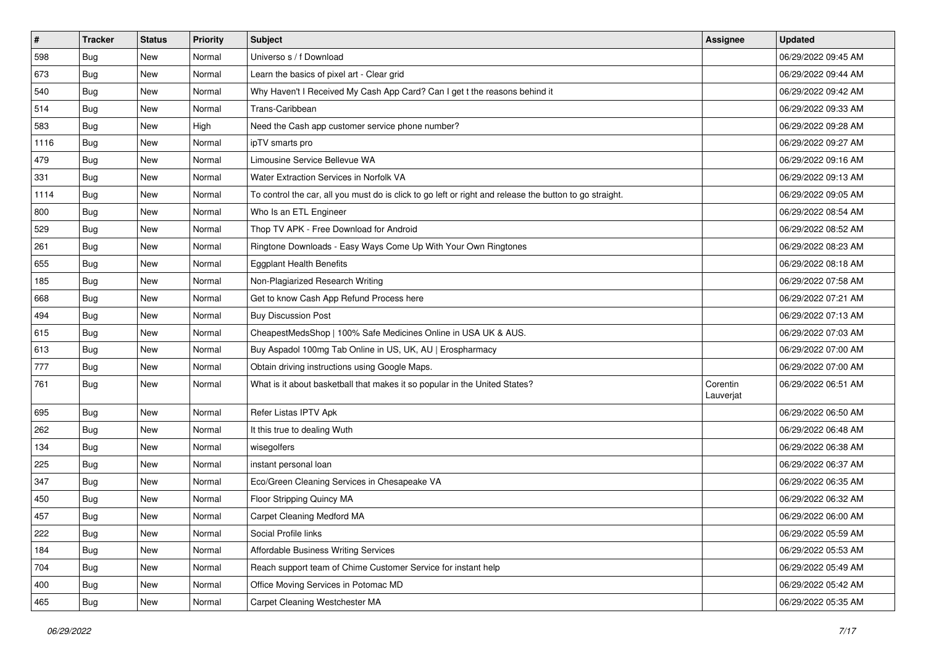| $\sharp$ | <b>Tracker</b> | <b>Status</b> | <b>Priority</b> | Subject                                                                                                 | <b>Assignee</b>       | <b>Updated</b>      |
|----------|----------------|---------------|-----------------|---------------------------------------------------------------------------------------------------------|-----------------------|---------------------|
| 598      | <b>Bug</b>     | New           | Normal          | Universo s / f Download                                                                                 |                       | 06/29/2022 09:45 AM |
| 673      | Bug            | <b>New</b>    | Normal          | Learn the basics of pixel art - Clear grid                                                              |                       | 06/29/2022 09:44 AM |
| 540      | Bug            | New           | Normal          | Why Haven't I Received My Cash App Card? Can I get t the reasons behind it                              |                       | 06/29/2022 09:42 AM |
| 514      | Bug            | New           | Normal          | Trans-Caribbean                                                                                         |                       | 06/29/2022 09:33 AM |
| 583      | Bug            | New           | High            | Need the Cash app customer service phone number?                                                        |                       | 06/29/2022 09:28 AM |
| 1116     | <b>Bug</b>     | New           | Normal          | ipTV smarts pro                                                                                         |                       | 06/29/2022 09:27 AM |
| 479      | Bug            | New           | Normal          | Limousine Service Bellevue WA                                                                           |                       | 06/29/2022 09:16 AM |
| 331      | Bug            | New           | Normal          | Water Extraction Services in Norfolk VA                                                                 |                       | 06/29/2022 09:13 AM |
| 1114     | <b>Bug</b>     | New           | Normal          | To control the car, all you must do is click to go left or right and release the button to go straight. |                       | 06/29/2022 09:05 AM |
| 800      | Bug            | New           | Normal          | Who Is an ETL Engineer                                                                                  |                       | 06/29/2022 08:54 AM |
| 529      | Bug            | New           | Normal          | Thop TV APK - Free Download for Android                                                                 |                       | 06/29/2022 08:52 AM |
| 261      | Bug            | New           | Normal          | Ringtone Downloads - Easy Ways Come Up With Your Own Ringtones                                          |                       | 06/29/2022 08:23 AM |
| 655      | Bug            | New           | Normal          | <b>Eggplant Health Benefits</b>                                                                         |                       | 06/29/2022 08:18 AM |
| 185      | <b>Bug</b>     | New           | Normal          | Non-Plagiarized Research Writing                                                                        |                       | 06/29/2022 07:58 AM |
| 668      | Bug            | <b>New</b>    | Normal          | Get to know Cash App Refund Process here                                                                |                       | 06/29/2022 07:21 AM |
| 494      | Bug            | New           | Normal          | <b>Buy Discussion Post</b>                                                                              |                       | 06/29/2022 07:13 AM |
| 615      | Bug            | New           | Normal          | CheapestMedsShop   100% Safe Medicines Online in USA UK & AUS.                                          |                       | 06/29/2022 07:03 AM |
| 613      | Bug            | New           | Normal          | Buy Aspadol 100mg Tab Online in US, UK, AU   Erospharmacy                                               |                       | 06/29/2022 07:00 AM |
| 777      | <b>Bug</b>     | New           | Normal          | Obtain driving instructions using Google Maps.                                                          |                       | 06/29/2022 07:00 AM |
| 761      | Bug            | New           | Normal          | What is it about basketball that makes it so popular in the United States?                              | Corentin<br>Lauverjat | 06/29/2022 06:51 AM |
| 695      | Bug            | New           | Normal          | Refer Listas IPTV Apk                                                                                   |                       | 06/29/2022 06:50 AM |
| 262      | Bug            | New           | Normal          | It this true to dealing Wuth                                                                            |                       | 06/29/2022 06:48 AM |
| 134      | <b>Bug</b>     | New           | Normal          | wisegolfers                                                                                             |                       | 06/29/2022 06:38 AM |
| 225      | <b>Bug</b>     | New           | Normal          | instant personal loan                                                                                   |                       | 06/29/2022 06:37 AM |
| 347      | <b>Bug</b>     | New           | Normal          | Eco/Green Cleaning Services in Chesapeake VA                                                            |                       | 06/29/2022 06:35 AM |
| 450      | <b>Bug</b>     | New           | Normal          | Floor Stripping Quincy MA                                                                               |                       | 06/29/2022 06:32 AM |
| 457      | <b>Bug</b>     | New           | Normal          | Carpet Cleaning Medford MA                                                                              |                       | 06/29/2022 06:00 AM |
| 222      | Bug            | New           | Normal          | Social Profile links                                                                                    |                       | 06/29/2022 05:59 AM |
| 184      | Bug            | New           | Normal          | Affordable Business Writing Services                                                                    |                       | 06/29/2022 05:53 AM |
| 704      | Bug            | New           | Normal          | Reach support team of Chime Customer Service for instant help                                           |                       | 06/29/2022 05:49 AM |
| 400      | Bug            | New           | Normal          | Office Moving Services in Potomac MD                                                                    |                       | 06/29/2022 05:42 AM |
| 465      | <b>Bug</b>     | New           | Normal          | Carpet Cleaning Westchester MA                                                                          |                       | 06/29/2022 05:35 AM |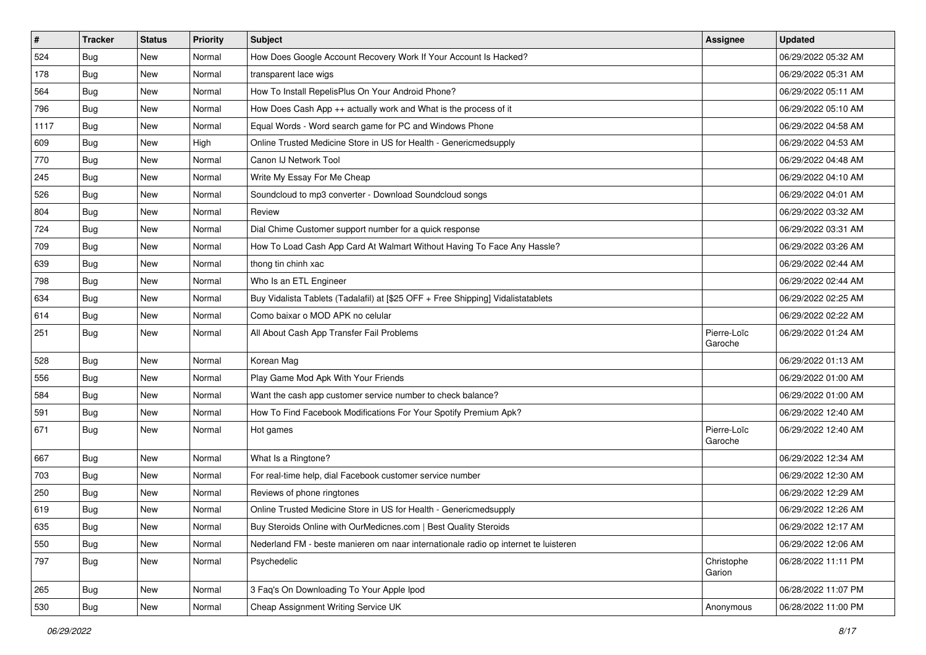| $\sharp$ | <b>Tracker</b> | <b>Status</b> | <b>Priority</b> | <b>Subject</b>                                                                      | <b>Assignee</b>        | <b>Updated</b>      |
|----------|----------------|---------------|-----------------|-------------------------------------------------------------------------------------|------------------------|---------------------|
| 524      | <b>Bug</b>     | New           | Normal          | How Does Google Account Recovery Work If Your Account Is Hacked?                    |                        | 06/29/2022 05:32 AM |
| 178      | Bug            | New           | Normal          | transparent lace wigs                                                               |                        | 06/29/2022 05:31 AM |
| 564      | Bug            | New           | Normal          | How To Install RepelisPlus On Your Android Phone?                                   |                        | 06/29/2022 05:11 AM |
| 796      | <b>Bug</b>     | New           | Normal          | How Does Cash App ++ actually work and What is the process of it                    |                        | 06/29/2022 05:10 AM |
| 1117     | Bug            | <b>New</b>    | Normal          | Equal Words - Word search game for PC and Windows Phone                             |                        | 06/29/2022 04:58 AM |
| 609      | <b>Bug</b>     | New           | High            | Online Trusted Medicine Store in US for Health - Genericmedsupply                   |                        | 06/29/2022 04:53 AM |
| 770      | Bug            | New           | Normal          | Canon IJ Network Tool                                                               |                        | 06/29/2022 04:48 AM |
| 245      | Bug            | New           | Normal          | Write My Essay For Me Cheap                                                         |                        | 06/29/2022 04:10 AM |
| 526      | <b>Bug</b>     | New           | Normal          | Soundcloud to mp3 converter - Download Soundcloud songs                             |                        | 06/29/2022 04:01 AM |
| 804      | Bug            | New           | Normal          | Review                                                                              |                        | 06/29/2022 03:32 AM |
| 724      | <b>Bug</b>     | New           | Normal          | Dial Chime Customer support number for a quick response                             |                        | 06/29/2022 03:31 AM |
| 709      | <b>Bug</b>     | New           | Normal          | How To Load Cash App Card At Walmart Without Having To Face Any Hassle?             |                        | 06/29/2022 03:26 AM |
| 639      | Bug            | New           | Normal          | thong tin chinh xac                                                                 |                        | 06/29/2022 02:44 AM |
| 798      | Bug            | New           | Normal          | Who Is an ETL Engineer                                                              |                        | 06/29/2022 02:44 AM |
| 634      | Bug            | New           | Normal          | Buy Vidalista Tablets (Tadalafil) at [\$25 OFF + Free Shipping] Vidalistatablets    |                        | 06/29/2022 02:25 AM |
| 614      | Bug            | New           | Normal          | Como baixar o MOD APK no celular                                                    |                        | 06/29/2022 02:22 AM |
| 251      | <b>Bug</b>     | New           | Normal          | All About Cash App Transfer Fail Problems                                           | Pierre-Loïc<br>Garoche | 06/29/2022 01:24 AM |
| 528      | <b>Bug</b>     | New           | Normal          | Korean Mag                                                                          |                        | 06/29/2022 01:13 AM |
| 556      | Bug            | New           | Normal          | Play Game Mod Apk With Your Friends                                                 |                        | 06/29/2022 01:00 AM |
| 584      | Bug            | New           | Normal          | Want the cash app customer service number to check balance?                         |                        | 06/29/2022 01:00 AM |
| 591      | Bug            | <b>New</b>    | Normal          | How To Find Facebook Modifications For Your Spotify Premium Apk?                    |                        | 06/29/2022 12:40 AM |
| 671      | Bug            | New           | Normal          | Hot games                                                                           | Pierre-Loïc<br>Garoche | 06/29/2022 12:40 AM |
| 667      | <b>Bug</b>     | New           | Normal          | What Is a Ringtone?                                                                 |                        | 06/29/2022 12:34 AM |
| 703      | Bug            | <b>New</b>    | Normal          | For real-time help, dial Facebook customer service number                           |                        | 06/29/2022 12:30 AM |
| 250      | <b>Bug</b>     | New           | Normal          | Reviews of phone ringtones                                                          |                        | 06/29/2022 12:29 AM |
| 619      | <b>Bug</b>     | New           | Normal          | Online Trusted Medicine Store in US for Health - Genericmedsupply                   |                        | 06/29/2022 12:26 AM |
| 635      | Bug            | New           | Normal          | Buy Steroids Online with OurMedicnes.com   Best Quality Steroids                    |                        | 06/29/2022 12:17 AM |
| 550      | Bug            | New           | Normal          | Nederland FM - beste manieren om naar internationale radio op internet te luisteren |                        | 06/29/2022 12:06 AM |
| 797      | Bug            | New           | Normal          | Psychedelic                                                                         | Christophe<br>Garion   | 06/28/2022 11:11 PM |
| 265      | Bug            | <b>New</b>    | Normal          | 3 Faq's On Downloading To Your Apple Ipod                                           |                        | 06/28/2022 11:07 PM |
| 530      | Bug            | New           | Normal          | Cheap Assignment Writing Service UK                                                 | Anonymous              | 06/28/2022 11:00 PM |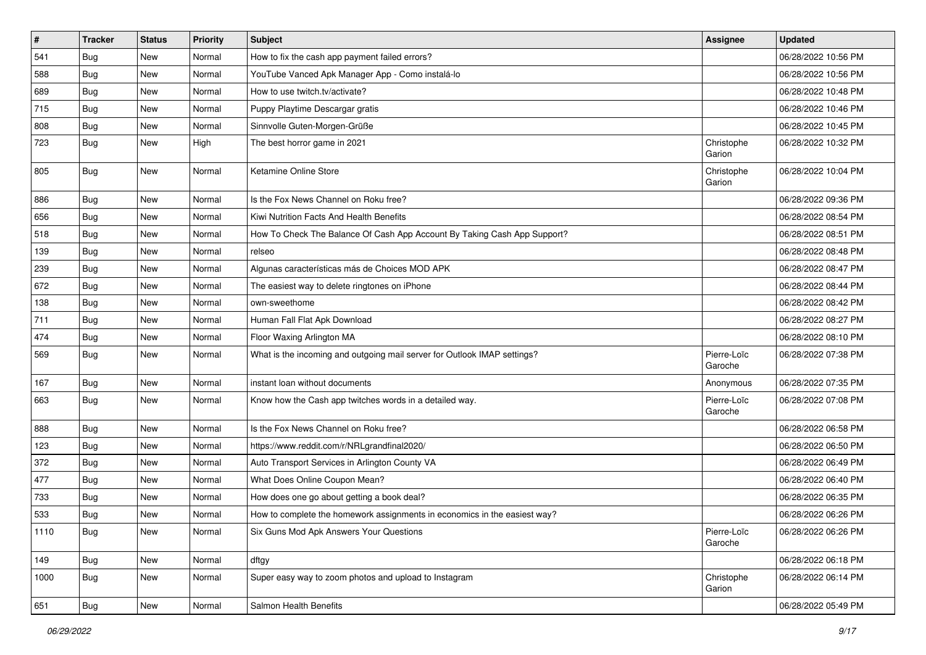| $\vert$ # | <b>Tracker</b> | <b>Status</b> | Priority | Subject                                                                   | <b>Assignee</b>        | <b>Updated</b>      |
|-----------|----------------|---------------|----------|---------------------------------------------------------------------------|------------------------|---------------------|
| 541       | Bug            | New           | Normal   | How to fix the cash app payment failed errors?                            |                        | 06/28/2022 10:56 PM |
| 588       | Bug            | <b>New</b>    | Normal   | YouTube Vanced Apk Manager App - Como instalá-lo                          |                        | 06/28/2022 10:56 PM |
| 689       | Bug            | New           | Normal   | How to use twitch.tv/activate?                                            |                        | 06/28/2022 10:48 PM |
| 715       | Bug            | New           | Normal   | Puppy Playtime Descargar gratis                                           |                        | 06/28/2022 10:46 PM |
| 808       | Bug            | New           | Normal   | Sinnvolle Guten-Morgen-Grüße                                              |                        | 06/28/2022 10:45 PM |
| 723       | Bug            | New           | High     | The best horror game in 2021                                              | Christophe<br>Garion   | 06/28/2022 10:32 PM |
| 805       | Bug            | <b>New</b>    | Normal   | Ketamine Online Store                                                     | Christophe<br>Garion   | 06/28/2022 10:04 PM |
| 886       | Bug            | <b>New</b>    | Normal   | Is the Fox News Channel on Roku free?                                     |                        | 06/28/2022 09:36 PM |
| 656       | Bug            | <b>New</b>    | Normal   | Kiwi Nutrition Facts And Health Benefits                                  |                        | 06/28/2022 08:54 PM |
| 518       | Bug            | New           | Normal   | How To Check The Balance Of Cash App Account By Taking Cash App Support?  |                        | 06/28/2022 08:51 PM |
| 139       | Bug            | New           | Normal   | relseo                                                                    |                        | 06/28/2022 08:48 PM |
| 239       | Bug            | New           | Normal   | Algunas características más de Choices MOD APK                            |                        | 06/28/2022 08:47 PM |
| 672       | Bug            | New           | Normal   | The easiest way to delete ringtones on iPhone                             |                        | 06/28/2022 08:44 PM |
| 138       | Bug            | New           | Normal   | own-sweethome                                                             |                        | 06/28/2022 08:42 PM |
| 711       | <b>Bug</b>     | New           | Normal   | Human Fall Flat Apk Download                                              |                        | 06/28/2022 08:27 PM |
| 474       | Bug            | <b>New</b>    | Normal   | Floor Waxing Arlington MA                                                 |                        | 06/28/2022 08:10 PM |
| 569       | Bug            | New           | Normal   | What is the incoming and outgoing mail server for Outlook IMAP settings?  | Pierre-Loïc<br>Garoche | 06/28/2022 07:38 PM |
| 167       | Bug            | <b>New</b>    | Normal   | instant loan without documents                                            | Anonymous              | 06/28/2022 07:35 PM |
| 663       | Bug            | New           | Normal   | Know how the Cash app twitches words in a detailed way.                   | Pierre-Loïc<br>Garoche | 06/28/2022 07:08 PM |
| 888       | Bug            | <b>New</b>    | Normal   | Is the Fox News Channel on Roku free?                                     |                        | 06/28/2022 06:58 PM |
| 123       | <b>Bug</b>     | New           | Normal   | https://www.reddit.com/r/NRLgrandfinal2020/                               |                        | 06/28/2022 06:50 PM |
| 372       | Bug            | <b>New</b>    | Normal   | Auto Transport Services in Arlington County VA                            |                        | 06/28/2022 06:49 PM |
| 477       | <b>Bug</b>     | New           | Normal   | What Does Online Coupon Mean?                                             |                        | 06/28/2022 06:40 PM |
| 733       | Bug            | New           | Normal   | How does one go about getting a book deal?                                |                        | 06/28/2022 06:35 PM |
| 533       | Bug            | New           | Normal   | How to complete the homework assignments in economics in the easiest way? |                        | 06/28/2022 06:26 PM |
| 1110      | <b>Bug</b>     | New           | Normal   | Six Guns Mod Apk Answers Your Questions                                   | Pierre-Loïc<br>Garoche | 06/28/2022 06:26 PM |
| 149       | Bug            | New           | Normal   | dftgy                                                                     |                        | 06/28/2022 06:18 PM |
| 1000      | <b>Bug</b>     | New           | Normal   | Super easy way to zoom photos and upload to Instagram                     | Christophe<br>Garion   | 06/28/2022 06:14 PM |
| 651       | Bug            | New           | Normal   | Salmon Health Benefits                                                    |                        | 06/28/2022 05:49 PM |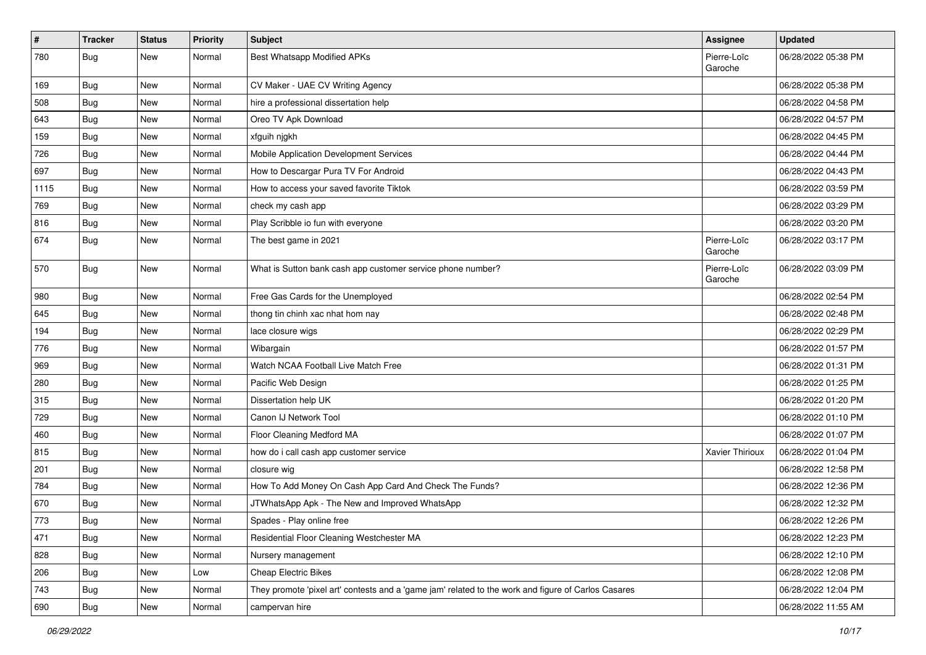| $\vert$ # | <b>Tracker</b> | <b>Status</b> | Priority | <b>Subject</b>                                                                                      | <b>Assignee</b>        | <b>Updated</b>      |
|-----------|----------------|---------------|----------|-----------------------------------------------------------------------------------------------------|------------------------|---------------------|
| 780       | Bug            | New           | Normal   | Best Whatsapp Modified APKs                                                                         | Pierre-Loïc<br>Garoche | 06/28/2022 05:38 PM |
| 169       | <b>Bug</b>     | New           | Normal   | CV Maker - UAE CV Writing Agency                                                                    |                        | 06/28/2022 05:38 PM |
| 508       | <b>Bug</b>     | New           | Normal   | hire a professional dissertation help                                                               |                        | 06/28/2022 04:58 PM |
| 643       | Bug            | <b>New</b>    | Normal   | Oreo TV Apk Download                                                                                |                        | 06/28/2022 04:57 PM |
| 159       | Bug            | New           | Normal   | xfguih njgkh                                                                                        |                        | 06/28/2022 04:45 PM |
| 726       | <b>Bug</b>     | New           | Normal   | Mobile Application Development Services                                                             |                        | 06/28/2022 04:44 PM |
| 697       | <b>Bug</b>     | New           | Normal   | How to Descargar Pura TV For Android                                                                |                        | 06/28/2022 04:43 PM |
| 1115      | <b>Bug</b>     | New           | Normal   | How to access your saved favorite Tiktok                                                            |                        | 06/28/2022 03:59 PM |
| 769       | <b>Bug</b>     | <b>New</b>    | Normal   | check my cash app                                                                                   |                        | 06/28/2022 03:29 PM |
| 816       | Bug            | New           | Normal   | Play Scribble io fun with everyone                                                                  |                        | 06/28/2022 03:20 PM |
| 674       | <b>Bug</b>     | New           | Normal   | The best game in 2021                                                                               | Pierre-Loïc<br>Garoche | 06/28/2022 03:17 PM |
| 570       | Bug            | New           | Normal   | What is Sutton bank cash app customer service phone number?                                         | Pierre-Loïc<br>Garoche | 06/28/2022 03:09 PM |
| 980       | <b>Bug</b>     | <b>New</b>    | Normal   | Free Gas Cards for the Unemployed                                                                   |                        | 06/28/2022 02:54 PM |
| 645       | <b>Bug</b>     | <b>New</b>    | Normal   | thong tin chinh xac nhat hom nay                                                                    |                        | 06/28/2022 02:48 PM |
| 194       | Bug            | <b>New</b>    | Normal   | lace closure wigs                                                                                   |                        | 06/28/2022 02:29 PM |
| 776       | Bug            | New           | Normal   | Wibargain                                                                                           |                        | 06/28/2022 01:57 PM |
| 969       | Bug            | New           | Normal   | Watch NCAA Football Live Match Free                                                                 |                        | 06/28/2022 01:31 PM |
| 280       | Bug            | <b>New</b>    | Normal   | Pacific Web Design                                                                                  |                        | 06/28/2022 01:25 PM |
| 315       | <b>Bug</b>     | <b>New</b>    | Normal   | Dissertation help UK                                                                                |                        | 06/28/2022 01:20 PM |
| 729       | Bug            | New           | Normal   | Canon IJ Network Tool                                                                               |                        | 06/28/2022 01:10 PM |
| 460       | Bug            | New           | Normal   | Floor Cleaning Medford MA                                                                           |                        | 06/28/2022 01:07 PM |
| 815       | Bug            | New           | Normal   | how do i call cash app customer service                                                             | Xavier Thirioux        | 06/28/2022 01:04 PM |
| 201       | Bug            | <b>New</b>    | Normal   | closure wig                                                                                         |                        | 06/28/2022 12:58 PM |
| 784       | <b>Bug</b>     | New           | Normal   | How To Add Money On Cash App Card And Check The Funds?                                              |                        | 06/28/2022 12:36 PM |
| 670       | Bug            | New           | Normal   | JTWhatsApp Apk - The New and Improved WhatsApp                                                      |                        | 06/28/2022 12:32 PM |
| 773       | Bug            | New           | Normal   | Spades - Play online free                                                                           |                        | 06/28/2022 12:26 PM |
| 471       | <b>Bug</b>     | New           | Normal   | Residential Floor Cleaning Westchester MA                                                           |                        | 06/28/2022 12:23 PM |
| 828       | Bug            | New           | Normal   | Nursery management                                                                                  |                        | 06/28/2022 12:10 PM |
| 206       | <b>Bug</b>     | New           | Low      | <b>Cheap Electric Bikes</b>                                                                         |                        | 06/28/2022 12:08 PM |
| 743       | Bug            | New           | Normal   | They promote 'pixel art' contests and a 'game jam' related to the work and figure of Carlos Casares |                        | 06/28/2022 12:04 PM |
| 690       | <b>Bug</b>     | New           | Normal   | campervan hire                                                                                      |                        | 06/28/2022 11:55 AM |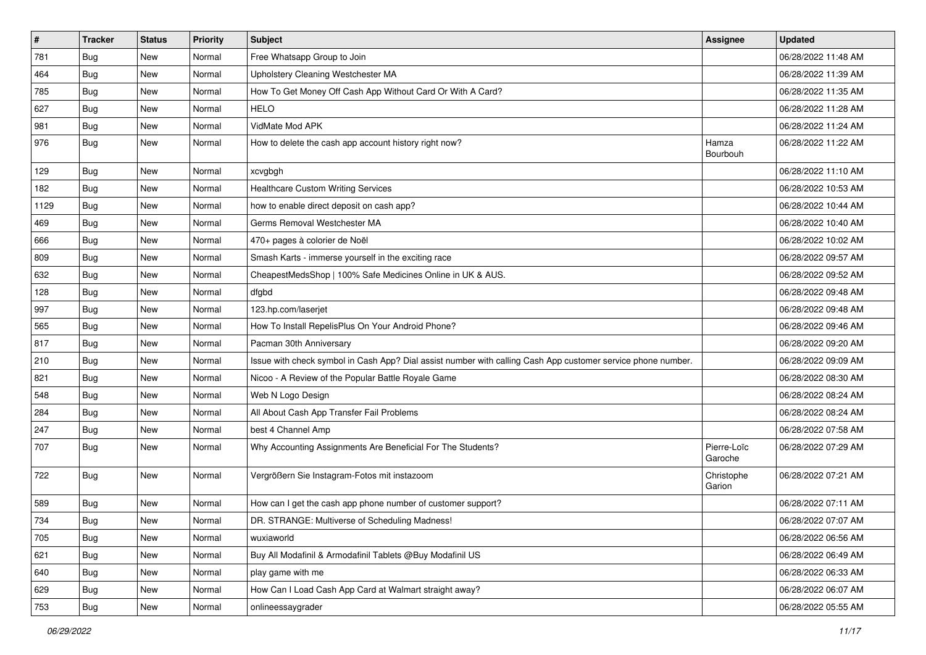| $\vert$ # | <b>Tracker</b> | <b>Status</b> | Priority | Subject                                                                                                      | <b>Assignee</b>        | <b>Updated</b>      |
|-----------|----------------|---------------|----------|--------------------------------------------------------------------------------------------------------------|------------------------|---------------------|
| 781       | <b>Bug</b>     | New           | Normal   | Free Whatsapp Group to Join                                                                                  |                        | 06/28/2022 11:48 AM |
| 464       | Bug            | New           | Normal   | Upholstery Cleaning Westchester MA                                                                           |                        | 06/28/2022 11:39 AM |
| 785       | Bug            | New           | Normal   | How To Get Money Off Cash App Without Card Or With A Card?                                                   |                        | 06/28/2022 11:35 AM |
| 627       | <b>Bug</b>     | New           | Normal   | HELO                                                                                                         |                        | 06/28/2022 11:28 AM |
| 981       | Bug            | New           | Normal   | VidMate Mod APK                                                                                              |                        | 06/28/2022 11:24 AM |
| 976       | Bug            | New           | Normal   | How to delete the cash app account history right now?                                                        | Hamza<br>Bourbouh      | 06/28/2022 11:22 AM |
| 129       | <b>Bug</b>     | New           | Normal   | xcvgbgh                                                                                                      |                        | 06/28/2022 11:10 AM |
| 182       | Bug            | New           | Normal   | <b>Healthcare Custom Writing Services</b>                                                                    |                        | 06/28/2022 10:53 AM |
| 1129      | Bug            | New           | Normal   | how to enable direct deposit on cash app?                                                                    |                        | 06/28/2022 10:44 AM |
| 469       | Bug            | New           | Normal   | Germs Removal Westchester MA                                                                                 |                        | 06/28/2022 10:40 AM |
| 666       | <b>Bug</b>     | New           | Normal   | 470+ pages à colorier de Noël                                                                                |                        | 06/28/2022 10:02 AM |
| 809       | Bug            | <b>New</b>    | Normal   | Smash Karts - immerse yourself in the exciting race                                                          |                        | 06/28/2022 09:57 AM |
| 632       | <b>Bug</b>     | New           | Normal   | CheapestMedsShop   100% Safe Medicines Online in UK & AUS.                                                   |                        | 06/28/2022 09:52 AM |
| 128       | <b>Bug</b>     | New           | Normal   | dfgbd                                                                                                        |                        | 06/28/2022 09:48 AM |
| 997       | Bug            | New           | Normal   | 123.hp.com/laserjet                                                                                          |                        | 06/28/2022 09:48 AM |
| 565       | Bug            | New           | Normal   | How To Install RepelisPlus On Your Android Phone?                                                            |                        | 06/28/2022 09:46 AM |
| 817       | Bug            | <b>New</b>    | Normal   | Pacman 30th Anniversary                                                                                      |                        | 06/28/2022 09:20 AM |
| 210       | Bug            | New           | Normal   | Issue with check symbol in Cash App? Dial assist number with calling Cash App customer service phone number. |                        | 06/28/2022 09:09 AM |
| 821       | <b>Bug</b>     | New           | Normal   | Nicoo - A Review of the Popular Battle Royale Game                                                           |                        | 06/28/2022 08:30 AM |
| 548       | <b>Bug</b>     | New           | Normal   | Web N Logo Design                                                                                            |                        | 06/28/2022 08:24 AM |
| 284       | <b>Bug</b>     | New           | Normal   | All About Cash App Transfer Fail Problems                                                                    |                        | 06/28/2022 08:24 AM |
| 247       | <b>Bug</b>     | New           | Normal   | best 4 Channel Amp                                                                                           |                        | 06/28/2022 07:58 AM |
| 707       | Bug            | New           | Normal   | Why Accounting Assignments Are Beneficial For The Students?                                                  | Pierre-Loïc<br>Garoche | 06/28/2022 07:29 AM |
| 722       | Bug            | <b>New</b>    | Normal   | Vergrößern Sie Instagram-Fotos mit instazoom                                                                 | Christophe<br>Garion   | 06/28/2022 07:21 AM |
| 589       | Bug            | New           | Normal   | How can I get the cash app phone number of customer support?                                                 |                        | 06/28/2022 07:11 AM |
| 734       | Bug            | New           | Normal   | DR. STRANGE: Multiverse of Scheduling Madness!                                                               |                        | 06/28/2022 07:07 AM |
| 705       | <b>Bug</b>     | New           | Normal   | wuxiaworld                                                                                                   |                        | 06/28/2022 06:56 AM |
| 621       | Bug            | New           | Normal   | Buy All Modafinil & Armodafinil Tablets @Buy Modafinil US                                                    |                        | 06/28/2022 06:49 AM |
| 640       | Bug            | New           | Normal   | play game with me                                                                                            |                        | 06/28/2022 06:33 AM |
| 629       | Bug            | New           | Normal   | How Can I Load Cash App Card at Walmart straight away?                                                       |                        | 06/28/2022 06:07 AM |
| 753       | Bug            | New           | Normal   | onlineessaygrader                                                                                            |                        | 06/28/2022 05:55 AM |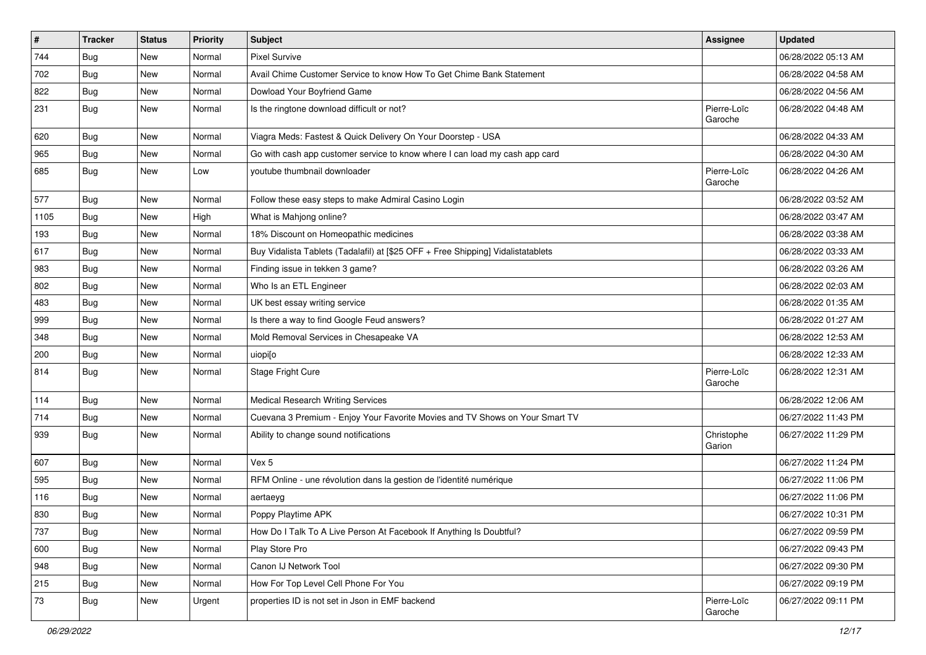| $\sharp$ | <b>Tracker</b> | <b>Status</b> | <b>Priority</b> | Subject                                                                          | <b>Assignee</b>        | <b>Updated</b>      |
|----------|----------------|---------------|-----------------|----------------------------------------------------------------------------------|------------------------|---------------------|
| 744      | <b>Bug</b>     | New           | Normal          | <b>Pixel Survive</b>                                                             |                        | 06/28/2022 05:13 AM |
| 702      | Bug            | New           | Normal          | Avail Chime Customer Service to know How To Get Chime Bank Statement             |                        | 06/28/2022 04:58 AM |
| 822      | Bug            | New           | Normal          | Dowload Your Boyfriend Game                                                      |                        | 06/28/2022 04:56 AM |
| 231      | <b>Bug</b>     | New           | Normal          | Is the ringtone download difficult or not?                                       | Pierre-Loïc<br>Garoche | 06/28/2022 04:48 AM |
| 620      | Bug            | <b>New</b>    | Normal          | Viagra Meds: Fastest & Quick Delivery On Your Doorstep - USA                     |                        | 06/28/2022 04:33 AM |
| 965      | Bug            | New           | Normal          | Go with cash app customer service to know where I can load my cash app card      |                        | 06/28/2022 04:30 AM |
| 685      | Bug            | <b>New</b>    | Low             | youtube thumbnail downloader                                                     | Pierre-Loïc<br>Garoche | 06/28/2022 04:26 AM |
| 577      | Bug            | <b>New</b>    | Normal          | Follow these easy steps to make Admiral Casino Login                             |                        | 06/28/2022 03:52 AM |
| 1105     | Bug            | New           | High            | What is Mahjong online?                                                          |                        | 06/28/2022 03:47 AM |
| 193      | Bug            | New           | Normal          | 18% Discount on Homeopathic medicines                                            |                        | 06/28/2022 03:38 AM |
| 617      | Bug            | <b>New</b>    | Normal          | Buy Vidalista Tablets (Tadalafil) at [\$25 OFF + Free Shipping] Vidalistatablets |                        | 06/28/2022 03:33 AM |
| 983      | Bug            | New           | Normal          | Finding issue in tekken 3 game?                                                  |                        | 06/28/2022 03:26 AM |
| 802      | Bug            | New           | Normal          | Who Is an ETL Engineer                                                           |                        | 06/28/2022 02:03 AM |
| 483      | Bug            | New           | Normal          | UK best essay writing service                                                    |                        | 06/28/2022 01:35 AM |
| 999      | Bug            | New           | Normal          | Is there a way to find Google Feud answers?                                      |                        | 06/28/2022 01:27 AM |
| 348      | Bug            | <b>New</b>    | Normal          | Mold Removal Services in Chesapeake VA                                           |                        | 06/28/2022 12:53 AM |
| 200      | Bug            | New           | Normal          | uiopi[o                                                                          |                        | 06/28/2022 12:33 AM |
| 814      | <b>Bug</b>     | New           | Normal          | Stage Fright Cure                                                                | Pierre-Loïc<br>Garoche | 06/28/2022 12:31 AM |
| 114      | Bug            | <b>New</b>    | Normal          | <b>Medical Research Writing Services</b>                                         |                        | 06/28/2022 12:06 AM |
| 714      | Bug            | New           | Normal          | Cuevana 3 Premium - Enjoy Your Favorite Movies and TV Shows on Your Smart TV     |                        | 06/27/2022 11:43 PM |
| 939      | Bug            | New           | Normal          | Ability to change sound notifications                                            | Christophe<br>Garion   | 06/27/2022 11:29 PM |
| 607      | Bug            | <b>New</b>    | Normal          | Vex 5                                                                            |                        | 06/27/2022 11:24 PM |
| 595      | <b>Bug</b>     | New           | Normal          | RFM Online - une révolution dans la gestion de l'identité numérique              |                        | 06/27/2022 11:06 PM |
| 116      | <b>Bug</b>     | New           | Normal          | aertaeyg                                                                         |                        | 06/27/2022 11:06 PM |
| 830      | <b>Bug</b>     | New           | Normal          | Poppy Playtime APK                                                               |                        | 06/27/2022 10:31 PM |
| 737      | <b>Bug</b>     | New           | Normal          | How Do I Talk To A Live Person At Facebook If Anything Is Doubtful?              |                        | 06/27/2022 09:59 PM |
| 600      | Bug            | New           | Normal          | Play Store Pro                                                                   |                        | 06/27/2022 09:43 PM |
| 948      | Bug            | New           | Normal          | Canon IJ Network Tool                                                            |                        | 06/27/2022 09:30 PM |
| 215      | Bug            | New           | Normal          | How For Top Level Cell Phone For You                                             |                        | 06/27/2022 09:19 PM |
| 73       | Bug            | New           | Urgent          | properties ID is not set in Json in EMF backend                                  | Pierre-Loïc<br>Garoche | 06/27/2022 09:11 PM |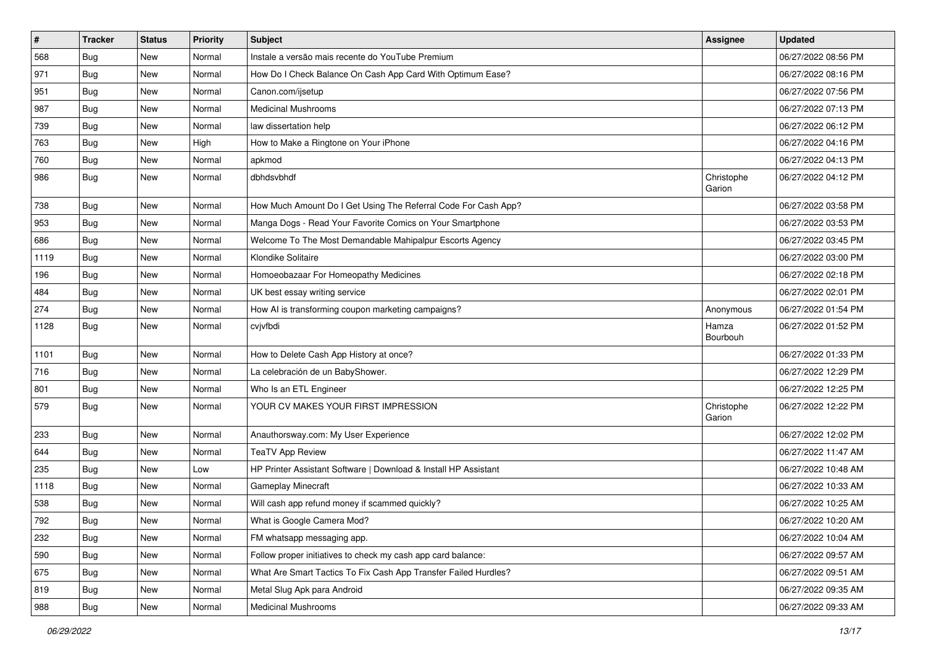| $\vert$ # | <b>Tracker</b> | <b>Status</b> | Priority | <b>Subject</b>                                                  | <b>Assignee</b>      | <b>Updated</b>      |
|-----------|----------------|---------------|----------|-----------------------------------------------------------------|----------------------|---------------------|
| 568       | Bug            | New           | Normal   | Instale a versão mais recente do YouTube Premium                |                      | 06/27/2022 08:56 PM |
| 971       | Bug            | <b>New</b>    | Normal   | How Do I Check Balance On Cash App Card With Optimum Ease?      |                      | 06/27/2022 08:16 PM |
| 951       | Bug            | New           | Normal   | Canon.com/ijsetup                                               |                      | 06/27/2022 07:56 PM |
| 987       | Bug            | New           | Normal   | <b>Medicinal Mushrooms</b>                                      |                      | 06/27/2022 07:13 PM |
| 739       | <b>Bug</b>     | <b>New</b>    | Normal   | law dissertation help                                           |                      | 06/27/2022 06:12 PM |
| 763       | Bug            | New           | High     | How to Make a Ringtone on Your iPhone                           |                      | 06/27/2022 04:16 PM |
| 760       | Bug            | New           | Normal   | apkmod                                                          |                      | 06/27/2022 04:13 PM |
| 986       | Bug            | New           | Normal   | dbhdsvbhdf                                                      | Christophe<br>Garion | 06/27/2022 04:12 PM |
| 738       | Bug            | <b>New</b>    | Normal   | How Much Amount Do I Get Using The Referral Code For Cash App?  |                      | 06/27/2022 03:58 PM |
| 953       | Bug            | New           | Normal   | Manga Dogs - Read Your Favorite Comics on Your Smartphone       |                      | 06/27/2022 03:53 PM |
| 686       | Bug            | New           | Normal   | Welcome To The Most Demandable Mahipalpur Escorts Agency        |                      | 06/27/2022 03:45 PM |
| 1119      | Bug            | <b>New</b>    | Normal   | Klondike Solitaire                                              |                      | 06/27/2022 03:00 PM |
| 196       | Bug            | New           | Normal   | Homoeobazaar For Homeopathy Medicines                           |                      | 06/27/2022 02:18 PM |
| 484       | Bug            | New           | Normal   | UK best essay writing service                                   |                      | 06/27/2022 02:01 PM |
| 274       | Bug            | New           | Normal   | How AI is transforming coupon marketing campaigns?              | Anonymous            | 06/27/2022 01:54 PM |
| 1128      | Bug            | New           | Normal   | cvjvfbdi                                                        | Hamza<br>Bourbouh    | 06/27/2022 01:52 PM |
| 1101      | <b>Bug</b>     | New           | Normal   | How to Delete Cash App History at once?                         |                      | 06/27/2022 01:33 PM |
| 716       | Bug            | <b>New</b>    | Normal   | La celebración de un BabyShower.                                |                      | 06/27/2022 12:29 PM |
| 801       | <b>Bug</b>     | <b>New</b>    | Normal   | Who Is an ETL Engineer                                          |                      | 06/27/2022 12:25 PM |
| 579       | Bug            | New           | Normal   | YOUR CV MAKES YOUR FIRST IMPRESSION                             | Christophe<br>Garion | 06/27/2022 12:22 PM |
| 233       | Bug            | New           | Normal   | Anauthorsway.com: My User Experience                            |                      | 06/27/2022 12:02 PM |
| 644       | <b>Bug</b>     | New           | Normal   | TeaTV App Review                                                |                      | 06/27/2022 11:47 AM |
| 235       | Bug            | <b>New</b>    | Low      | HP Printer Assistant Software   Download & Install HP Assistant |                      | 06/27/2022 10:48 AM |
| 1118      | Bug            | New           | Normal   | Gameplay Minecraft                                              |                      | 06/27/2022 10:33 AM |
| 538       | Bug            | New           | Normal   | Will cash app refund money if scammed quickly?                  |                      | 06/27/2022 10:25 AM |
| 792       | Bug            | New           | Normal   | What is Google Camera Mod?                                      |                      | 06/27/2022 10:20 AM |
| 232       | Bug            | New           | Normal   | FM whatsapp messaging app.                                      |                      | 06/27/2022 10:04 AM |
| 590       | Bug            | New           | Normal   | Follow proper initiatives to check my cash app card balance:    |                      | 06/27/2022 09:57 AM |
| 675       | <b>Bug</b>     | New           | Normal   | What Are Smart Tactics To Fix Cash App Transfer Failed Hurdles? |                      | 06/27/2022 09:51 AM |
| 819       | Bug            | New           | Normal   | Metal Slug Apk para Android                                     |                      | 06/27/2022 09:35 AM |
| 988       | <b>Bug</b>     | New           | Normal   | <b>Medicinal Mushrooms</b>                                      |                      | 06/27/2022 09:33 AM |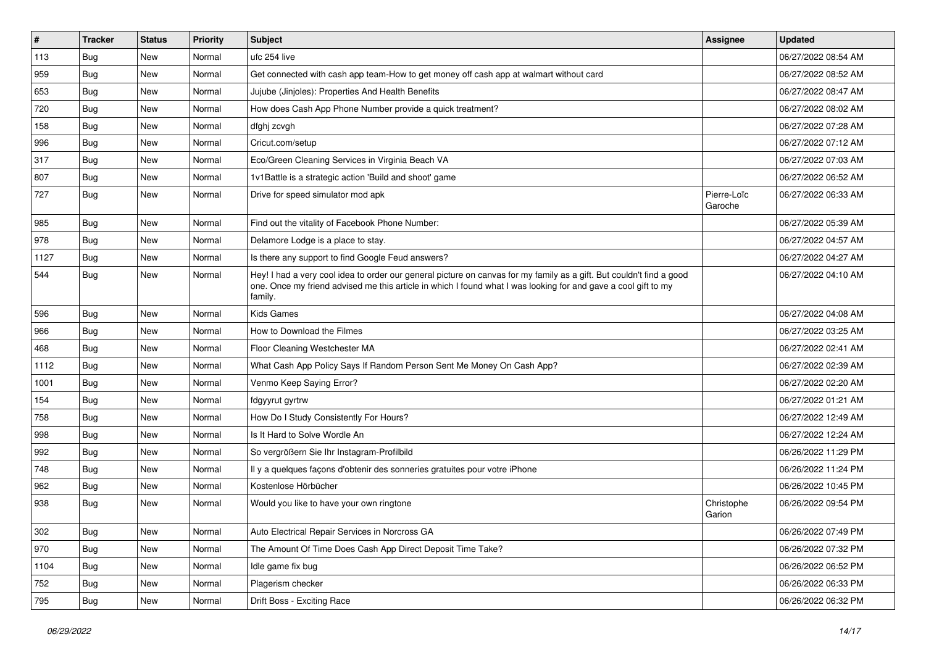| $\vert$ # | <b>Tracker</b> | <b>Status</b> | <b>Priority</b> | <b>Subject</b>                                                                                                                                                                                                                                    | <b>Assignee</b>        | <b>Updated</b>      |
|-----------|----------------|---------------|-----------------|---------------------------------------------------------------------------------------------------------------------------------------------------------------------------------------------------------------------------------------------------|------------------------|---------------------|
| 113       | <b>Bug</b>     | New           | Normal          | ufc 254 live                                                                                                                                                                                                                                      |                        | 06/27/2022 08:54 AM |
| 959       | Bug            | New           | Normal          | Get connected with cash app team-How to get money off cash app at walmart without card                                                                                                                                                            |                        | 06/27/2022 08:52 AM |
| 653       | <b>Bug</b>     | New           | Normal          | Jujube (Jinjoles): Properties And Health Benefits                                                                                                                                                                                                 |                        | 06/27/2022 08:47 AM |
| 720       | <b>Bug</b>     | New           | Normal          | How does Cash App Phone Number provide a quick treatment?                                                                                                                                                                                         |                        | 06/27/2022 08:02 AM |
| 158       | Bug            | New           | Normal          | dfghj zcvgh                                                                                                                                                                                                                                       |                        | 06/27/2022 07:28 AM |
| 996       | Bug            | New           | Normal          | Cricut.com/setup                                                                                                                                                                                                                                  |                        | 06/27/2022 07:12 AM |
| 317       | Bug            | New           | Normal          | Eco/Green Cleaning Services in Virginia Beach VA                                                                                                                                                                                                  |                        | 06/27/2022 07:03 AM |
| 807       | Bug            | New           | Normal          | 1v1Battle is a strategic action 'Build and shoot' game                                                                                                                                                                                            |                        | 06/27/2022 06:52 AM |
| 727       | Bug            | New           | Normal          | Drive for speed simulator mod apk                                                                                                                                                                                                                 | Pierre-Loïc<br>Garoche | 06/27/2022 06:33 AM |
| 985       | Bug            | New           | Normal          | Find out the vitality of Facebook Phone Number:                                                                                                                                                                                                   |                        | 06/27/2022 05:39 AM |
| 978       | <b>Bug</b>     | New           | Normal          | Delamore Lodge is a place to stay.                                                                                                                                                                                                                |                        | 06/27/2022 04:57 AM |
| 1127      | Bug            | <b>New</b>    | Normal          | Is there any support to find Google Feud answers?                                                                                                                                                                                                 |                        | 06/27/2022 04:27 AM |
| 544       | Bug            | New           | Normal          | Hey! I had a very cool idea to order our general picture on canvas for my family as a gift. But couldn't find a good<br>one. Once my friend advised me this article in which I found what I was looking for and gave a cool gift to my<br>family. |                        | 06/27/2022 04:10 AM |
| 596       | Bug            | <b>New</b>    | Normal          | <b>Kids Games</b>                                                                                                                                                                                                                                 |                        | 06/27/2022 04:08 AM |
| 966       | Bug            | New           | Normal          | How to Download the Filmes                                                                                                                                                                                                                        |                        | 06/27/2022 03:25 AM |
| 468       | Bug            | New           | Normal          | Floor Cleaning Westchester MA                                                                                                                                                                                                                     |                        | 06/27/2022 02:41 AM |
| 1112      | Bug            | New           | Normal          | What Cash App Policy Says If Random Person Sent Me Money On Cash App?                                                                                                                                                                             |                        | 06/27/2022 02:39 AM |
| 1001      | Bug            | <b>New</b>    | Normal          | Venmo Keep Saying Error?                                                                                                                                                                                                                          |                        | 06/27/2022 02:20 AM |
| 154       | Bug            | New           | Normal          | fdgyyrut gyrtrw                                                                                                                                                                                                                                   |                        | 06/27/2022 01:21 AM |
| 758       | Bug            | New           | Normal          | How Do I Study Consistently For Hours?                                                                                                                                                                                                            |                        | 06/27/2022 12:49 AM |
| 998       | Bug            | New           | Normal          | Is It Hard to Solve Wordle An                                                                                                                                                                                                                     |                        | 06/27/2022 12:24 AM |
| 992       | <b>Bug</b>     | New           | Normal          | So vergrößern Sie Ihr Instagram-Profilbild                                                                                                                                                                                                        |                        | 06/26/2022 11:29 PM |
| 748       | Bug            | New           | Normal          | Il y a quelques façons d'obtenir des sonneries gratuites pour votre iPhone                                                                                                                                                                        |                        | 06/26/2022 11:24 PM |
| 962       | Bug            | New           | Normal          | Kostenlose Hörbücher                                                                                                                                                                                                                              |                        | 06/26/2022 10:45 PM |
| 938       | Bug            | New           | Normal          | Would you like to have your own ringtone                                                                                                                                                                                                          | Christophe<br>Garion   | 06/26/2022 09:54 PM |
| 302       | Bug            | New           | Normal          | Auto Electrical Repair Services in Norcross GA                                                                                                                                                                                                    |                        | 06/26/2022 07:49 PM |
| 970       | Bug            | New           | Normal          | The Amount Of Time Does Cash App Direct Deposit Time Take?                                                                                                                                                                                        |                        | 06/26/2022 07:32 PM |
| 1104      | Bug            | New           | Normal          | Idle game fix bug                                                                                                                                                                                                                                 |                        | 06/26/2022 06:52 PM |
| 752       | <b>Bug</b>     | New           | Normal          | Plagerism checker                                                                                                                                                                                                                                 |                        | 06/26/2022 06:33 PM |
| 795       | Bug            | New           | Normal          | Drift Boss - Exciting Race                                                                                                                                                                                                                        |                        | 06/26/2022 06:32 PM |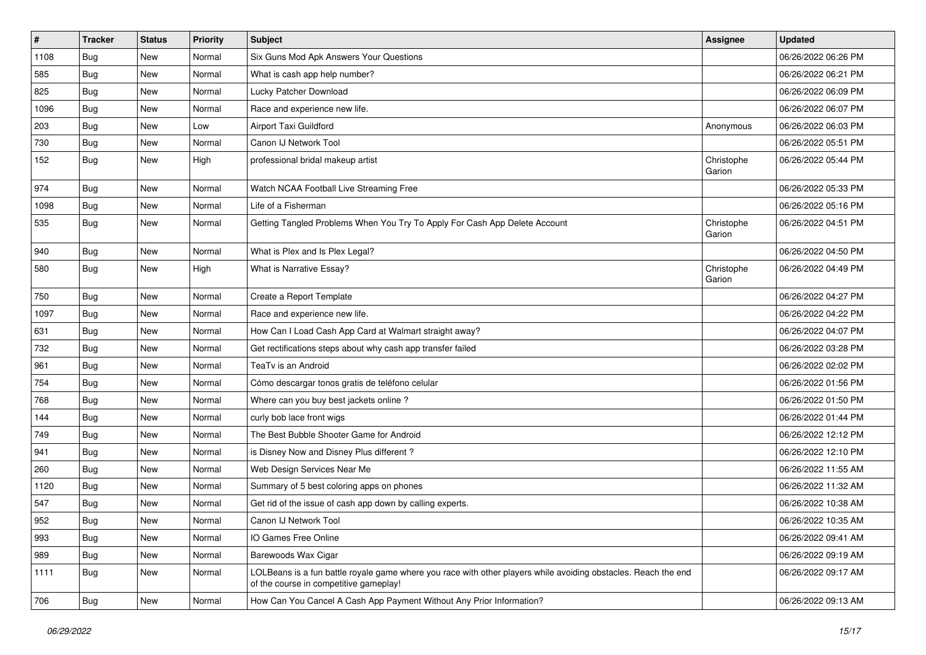| $\vert$ # | <b>Tracker</b> | <b>Status</b> | Priority | Subject                                                                                                                                                  | <b>Assignee</b>      | <b>Updated</b>      |
|-----------|----------------|---------------|----------|----------------------------------------------------------------------------------------------------------------------------------------------------------|----------------------|---------------------|
| 1108      | Bug            | New           | Normal   | Six Guns Mod Apk Answers Your Questions                                                                                                                  |                      | 06/26/2022 06:26 PM |
| 585       | Bug            | New           | Normal   | What is cash app help number?                                                                                                                            |                      | 06/26/2022 06:21 PM |
| 825       | Bug            | New           | Normal   | Lucky Patcher Download                                                                                                                                   |                      | 06/26/2022 06:09 PM |
| 1096      | <b>Bug</b>     | New           | Normal   | Race and experience new life.                                                                                                                            |                      | 06/26/2022 06:07 PM |
| 203       | <b>Bug</b>     | <b>New</b>    | Low      | Airport Taxi Guildford                                                                                                                                   | Anonymous            | 06/26/2022 06:03 PM |
| 730       | <b>Bug</b>     | New           | Normal   | Canon IJ Network Tool                                                                                                                                    |                      | 06/26/2022 05:51 PM |
| 152       | Bug            | New           | High     | professional bridal makeup artist                                                                                                                        | Christophe<br>Garion | 06/26/2022 05:44 PM |
| 974       | Bug            | New           | Normal   | Watch NCAA Football Live Streaming Free                                                                                                                  |                      | 06/26/2022 05:33 PM |
| 1098      | Bug            | <b>New</b>    | Normal   | Life of a Fisherman                                                                                                                                      |                      | 06/26/2022 05:16 PM |
| 535       | Bug            | New           | Normal   | Getting Tangled Problems When You Try To Apply For Cash App Delete Account                                                                               | Christophe<br>Garion | 06/26/2022 04:51 PM |
| 940       | Bug            | <b>New</b>    | Normal   | What is Plex and Is Plex Legal?                                                                                                                          |                      | 06/26/2022 04:50 PM |
| 580       | <b>Bug</b>     | New           | High     | What is Narrative Essay?                                                                                                                                 | Christophe<br>Garion | 06/26/2022 04:49 PM |
| 750       | Bug            | <b>New</b>    | Normal   | Create a Report Template                                                                                                                                 |                      | 06/26/2022 04:27 PM |
| 1097      | Bug            | New           | Normal   | Race and experience new life.                                                                                                                            |                      | 06/26/2022 04:22 PM |
| 631       | Bug            | <b>New</b>    | Normal   | How Can I Load Cash App Card at Walmart straight away?                                                                                                   |                      | 06/26/2022 04:07 PM |
| 732       | Bug            | New           | Normal   | Get rectifications steps about why cash app transfer failed                                                                                              |                      | 06/26/2022 03:28 PM |
| 961       | Bug            | New           | Normal   | TeaTv is an Android                                                                                                                                      |                      | 06/26/2022 02:02 PM |
| 754       | Bug            | <b>New</b>    | Normal   | Cómo descargar tonos gratis de teléfono celular                                                                                                          |                      | 06/26/2022 01:56 PM |
| 768       | <b>Bug</b>     | <b>New</b>    | Normal   | Where can you buy best jackets online?                                                                                                                   |                      | 06/26/2022 01:50 PM |
| 144       | Bug            | New           | Normal   | curly bob lace front wigs                                                                                                                                |                      | 06/26/2022 01:44 PM |
| 749       | Bug            | New           | Normal   | The Best Bubble Shooter Game for Android                                                                                                                 |                      | 06/26/2022 12:12 PM |
| 941       | <b>Bug</b>     | New           | Normal   | is Disney Now and Disney Plus different?                                                                                                                 |                      | 06/26/2022 12:10 PM |
| 260       | Bug            | <b>New</b>    | Normal   | Web Design Services Near Me                                                                                                                              |                      | 06/26/2022 11:55 AM |
| 1120      | <b>Bug</b>     | New           | Normal   | Summary of 5 best coloring apps on phones                                                                                                                |                      | 06/26/2022 11:32 AM |
| 547       | Bug            | New           | Normal   | Get rid of the issue of cash app down by calling experts.                                                                                                |                      | 06/26/2022 10:38 AM |
| 952       | Bug            | New           | Normal   | Canon IJ Network Tool                                                                                                                                    |                      | 06/26/2022 10:35 AM |
| 993       | Bug            | New           | Normal   | IO Games Free Online                                                                                                                                     |                      | 06/26/2022 09:41 AM |
| 989       | Bug            | New           | Normal   | Barewoods Wax Cigar                                                                                                                                      |                      | 06/26/2022 09:19 AM |
| 1111      | Bug            | New           | Normal   | LOLBeans is a fun battle royale game where you race with other players while avoiding obstacles. Reach the end<br>of the course in competitive gameplay! |                      | 06/26/2022 09:17 AM |
| 706       | Bug            | New           | Normal   | How Can You Cancel A Cash App Payment Without Any Prior Information?                                                                                     |                      | 06/26/2022 09:13 AM |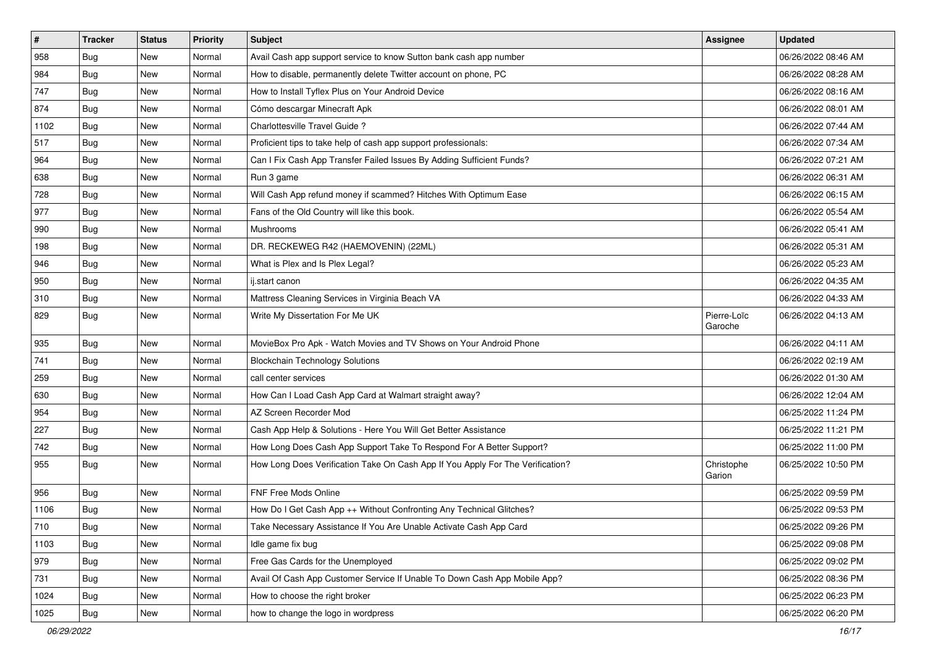| $\vert$ # | <b>Tracker</b> | <b>Status</b> | <b>Priority</b> | Subject                                                                        | <b>Assignee</b>        | <b>Updated</b>      |
|-----------|----------------|---------------|-----------------|--------------------------------------------------------------------------------|------------------------|---------------------|
| 958       | <b>Bug</b>     | New           | Normal          | Avail Cash app support service to know Sutton bank cash app number             |                        | 06/26/2022 08:46 AM |
| 984       | Bug            | <b>New</b>    | Normal          | How to disable, permanently delete Twitter account on phone, PC                |                        | 06/26/2022 08:28 AM |
| 747       | Bug            | New           | Normal          | How to Install Tyflex Plus on Your Android Device                              |                        | 06/26/2022 08:16 AM |
| 874       | <b>Bug</b>     | New           | Normal          | Cómo descargar Minecraft Apk                                                   |                        | 06/26/2022 08:01 AM |
| 1102      | Bug            | New           | Normal          | Charlottesville Travel Guide?                                                  |                        | 06/26/2022 07:44 AM |
| 517       | <b>Bug</b>     | New           | Normal          | Proficient tips to take help of cash app support professionals:                |                        | 06/26/2022 07:34 AM |
| 964       | Bug            | New           | Normal          | Can I Fix Cash App Transfer Failed Issues By Adding Sufficient Funds?          |                        | 06/26/2022 07:21 AM |
| 638       | <b>Bug</b>     | New           | Normal          | Run 3 game                                                                     |                        | 06/26/2022 06:31 AM |
| 728       | <b>Bug</b>     | New           | Normal          | Will Cash App refund money if scammed? Hitches With Optimum Ease               |                        | 06/26/2022 06:15 AM |
| 977       | Bug            | <b>New</b>    | Normal          | Fans of the Old Country will like this book.                                   |                        | 06/26/2022 05:54 AM |
| 990       | Bug            | New           | Normal          | <b>Mushrooms</b>                                                               |                        | 06/26/2022 05:41 AM |
| 198       | Bug            | New           | Normal          | DR. RECKEWEG R42 (HAEMOVENIN) (22ML)                                           |                        | 06/26/2022 05:31 AM |
| 946       | Bug            | <b>New</b>    | Normal          | What is Plex and Is Plex Legal?                                                |                        | 06/26/2022 05:23 AM |
| 950       | <b>Bug</b>     | New           | Normal          | ij.start canon                                                                 |                        | 06/26/2022 04:35 AM |
| 310       | Bug            | New           | Normal          | Mattress Cleaning Services in Virginia Beach VA                                |                        | 06/26/2022 04:33 AM |
| 829       | Bug            | New           | Normal          | Write My Dissertation For Me UK                                                | Pierre-Loïc<br>Garoche | 06/26/2022 04:13 AM |
| 935       | Bug            | New           | Normal          | MovieBox Pro Apk - Watch Movies and TV Shows on Your Android Phone             |                        | 06/26/2022 04:11 AM |
| 741       | Bug            | New           | Normal          | <b>Blockchain Technology Solutions</b>                                         |                        | 06/26/2022 02:19 AM |
| 259       | Bug            | New           | Normal          | call center services                                                           |                        | 06/26/2022 01:30 AM |
| 630       | Bug            | <b>New</b>    | Normal          | How Can I Load Cash App Card at Walmart straight away?                         |                        | 06/26/2022 12:04 AM |
| 954       | Bug            | New           | Normal          | AZ Screen Recorder Mod                                                         |                        | 06/25/2022 11:24 PM |
| 227       | Bug            | <b>New</b>    | Normal          | Cash App Help & Solutions - Here You Will Get Better Assistance                |                        | 06/25/2022 11:21 PM |
| 742       | Bug            | New           | Normal          | How Long Does Cash App Support Take To Respond For A Better Support?           |                        | 06/25/2022 11:00 PM |
| 955       | Bug            | New           | Normal          | How Long Does Verification Take On Cash App If You Apply For The Verification? | Christophe<br>Garion   | 06/25/2022 10:50 PM |
| 956       | Bug            | New           | Normal          | <b>FNF Free Mods Online</b>                                                    |                        | 06/25/2022 09:59 PM |
| 1106      | Bug            | New           | Normal          | How Do I Get Cash App ++ Without Confronting Any Technical Glitches?           |                        | 06/25/2022 09:53 PM |
| 710       | Bug            | New           | Normal          | Take Necessary Assistance If You Are Unable Activate Cash App Card             |                        | 06/25/2022 09:26 PM |
| 1103      | Bug            | New           | Normal          | Idle game fix bug                                                              |                        | 06/25/2022 09:08 PM |
| 979       | Bug            | New           | Normal          | Free Gas Cards for the Unemployed                                              |                        | 06/25/2022 09:02 PM |
| 731       | <b>Bug</b>     | New           | Normal          | Avail Of Cash App Customer Service If Unable To Down Cash App Mobile App?      |                        | 06/25/2022 08:36 PM |
| 1024      | Bug            | New           | Normal          | How to choose the right broker                                                 |                        | 06/25/2022 06:23 PM |
| 1025      | <b>Bug</b>     | New           | Normal          | how to change the logo in wordpress                                            |                        | 06/25/2022 06:20 PM |